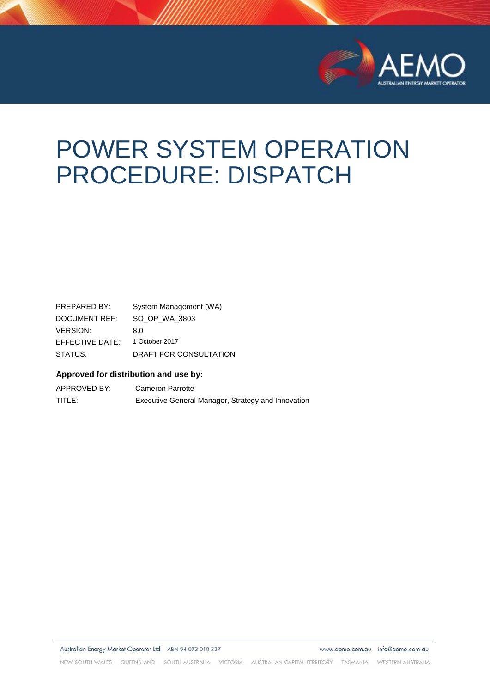

# POWER SYSTEM OPERATION PROCEDURE: DISPATCH

PREPARED BY: System Management (WA) DOCUMENT REF: SO\_OP\_WA\_3803 VERSION: 8.0 EFFECTIVE DATE: 1 October 2017 STATUS: DRAFT FOR CONSULTATION

#### **Approved for distribution and use by:**

APPROVED BY: Cameron Parrotte TITLE: Executive General Manager, Strategy and Innovation

Australian Energy Market Operator Ltd ABN 94 072 010 327

www.aemo.com.au info@aemo.com.au

NEW SOUTH WALES QUEENSLAND SOUTH AUSTRALIA VICTORIA AUSTRALIAN CAPITAL TERRITORY TASMANIA WESTERN AUSTRALIA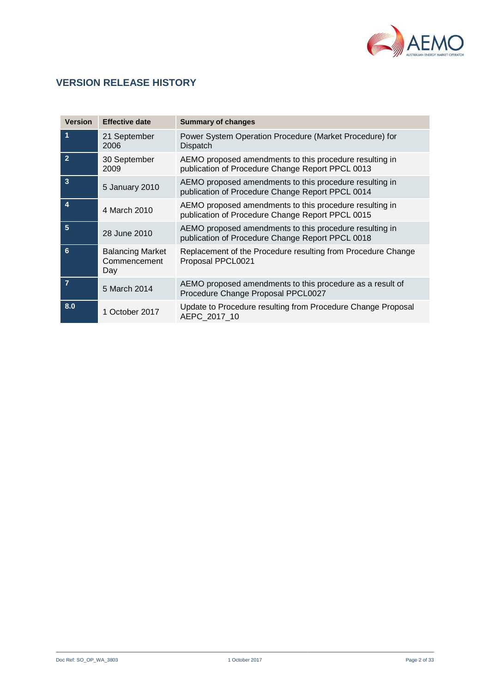

## **VERSION RELEASE HISTORY**

| <b>Version</b>          | <b>Effective date</b>                          | <b>Summary of changes</b>                                                                                   |
|-------------------------|------------------------------------------------|-------------------------------------------------------------------------------------------------------------|
| 1                       | 21 September<br>2006                           | Power System Operation Procedure (Market Procedure) for<br>Dispatch                                         |
| $\overline{2}$          | 30 September<br>2009                           | AEMO proposed amendments to this procedure resulting in<br>publication of Procedure Change Report PPCL 0013 |
| $\overline{\mathbf{3}}$ | 5 January 2010                                 | AEMO proposed amendments to this procedure resulting in<br>publication of Procedure Change Report PPCL 0014 |
| 4                       | 4 March 2010                                   | AEMO proposed amendments to this procedure resulting in<br>publication of Procedure Change Report PPCL 0015 |
| 5                       | 28 June 2010                                   | AEMO proposed amendments to this procedure resulting in<br>publication of Procedure Change Report PPCL 0018 |
| 6                       | <b>Balancing Market</b><br>Commencement<br>Day | Replacement of the Procedure resulting from Procedure Change<br>Proposal PPCL0021                           |
| $\overline{7}$          | 5 March 2014                                   | AEMO proposed amendments to this procedure as a result of<br>Procedure Change Proposal PPCL0027             |
| 8.0                     | 1 October 2017                                 | Update to Procedure resulting from Procedure Change Proposal<br>AEPC 2017 10                                |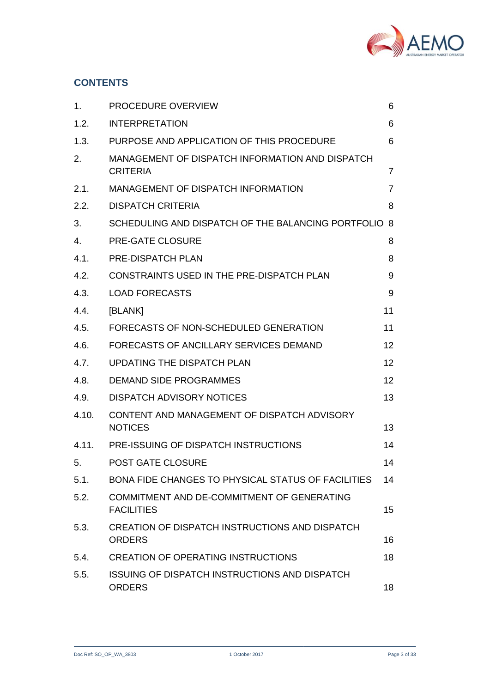

## **CONTENTS**

| 1.             | PROCEDURE OVERVIEW                                                     | 6  |
|----------------|------------------------------------------------------------------------|----|
| 1.2.           | <b>INTERPRETATION</b>                                                  | 6  |
| 1.3.           | PURPOSE AND APPLICATION OF THIS PROCEDURE                              | 6  |
| 2.             | MANAGEMENT OF DISPATCH INFORMATION AND DISPATCH<br><b>CRITERIA</b>     | 7  |
| 2.1.           | MANAGEMENT OF DISPATCH INFORMATION                                     | 7  |
| 2.2.           | <b>DISPATCH CRITERIA</b>                                               | 8  |
| 3.             | SCHEDULING AND DISPATCH OF THE BALANCING PORTFOLIO                     | 8  |
| $\mathbf{4}$ . | <b>PRE-GATE CLOSURE</b>                                                | 8  |
| 4.1.           | <b>PRE-DISPATCH PLAN</b>                                               | 8  |
| 4.2.           | CONSTRAINTS USED IN THE PRE-DISPATCH PLAN                              | 9  |
| 4.3.           | <b>LOAD FORECASTS</b>                                                  | 9  |
| 4.4.           | [BLANK]                                                                | 11 |
| 4.5.           | FORECASTS OF NON-SCHEDULED GENERATION                                  | 11 |
| 4.6.           | FORECASTS OF ANCILLARY SERVICES DEMAND                                 | 12 |
| 4.7.           | UPDATING THE DISPATCH PLAN                                             | 12 |
| 4.8.           | <b>DEMAND SIDE PROGRAMMES</b>                                          | 12 |
| 4.9.           | <b>DISPATCH ADVISORY NOTICES</b>                                       | 13 |
| 4.10.          | CONTENT AND MANAGEMENT OF DISPATCH ADVISORY<br><b>NOTICES</b>          | 13 |
| 4.11.          | PRE-ISSUING OF DISPATCH INSTRUCTIONS                                   | 14 |
| 5.             | <b>POST GATE CLOSURE</b>                                               | 14 |
| 5.1.           | BONA FIDE CHANGES TO PHYSICAL STATUS OF FACILITIES                     | 14 |
| 5.2.           | COMMITMENT AND DE-COMMITMENT OF GENERATING<br><b>FACILITIES</b>        | 15 |
| 5.3.           | <b>CREATION OF DISPATCH INSTRUCTIONS AND DISPATCH</b><br><b>ORDERS</b> | 16 |
| 5.4.           | <b>CREATION OF OPERATING INSTRUCTIONS</b>                              | 18 |
| 5.5.           | <b>ISSUING OF DISPATCH INSTRUCTIONS AND DISPATCH</b><br><b>ORDERS</b>  | 18 |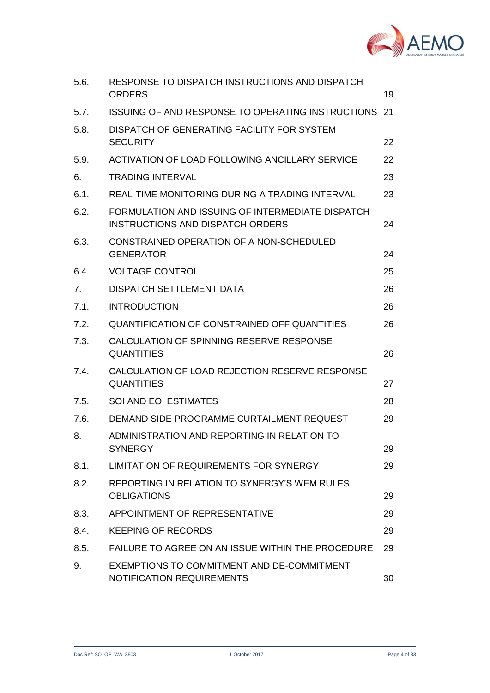

| 5.6. | RESPONSE TO DISPATCH INSTRUCTIONS AND DISPATCH<br><b>ORDERS</b>                             | 19 |
|------|---------------------------------------------------------------------------------------------|----|
| 5.7. | ISSUING OF AND RESPONSE TO OPERATING INSTRUCTIONS                                           | 21 |
| 5.8. | DISPATCH OF GENERATING FACILITY FOR SYSTEM<br><b>SECURITY</b>                               | 22 |
| 5.9. | ACTIVATION OF LOAD FOLLOWING ANCILLARY SERVICE                                              | 22 |
| 6.   | <b>TRADING INTERVAL</b>                                                                     | 23 |
| 6.1. | REAL-TIME MONITORING DURING A TRADING INTERVAL                                              | 23 |
| 6.2. | FORMULATION AND ISSUING OF INTERMEDIATE DISPATCH<br><b>INSTRUCTIONS AND DISPATCH ORDERS</b> | 24 |
| 6.3. | CONSTRAINED OPERATION OF A NON-SCHEDULED<br><b>GENERATOR</b>                                | 24 |
| 6.4. | <b>VOLTAGE CONTROL</b>                                                                      | 25 |
| 7.   | <b>DISPATCH SETTLEMENT DATA</b>                                                             | 26 |
| 7.1. | <b>INTRODUCTION</b>                                                                         | 26 |
| 7.2. | QUANTIFICATION OF CONSTRAINED OFF QUANTITIES                                                | 26 |
| 7.3. | CALCULATION OF SPINNING RESERVE RESPONSE<br><b>QUANTITIES</b>                               | 26 |
| 7.4. | CALCULATION OF LOAD REJECTION RESERVE RESPONSE<br><b>QUANTITIES</b>                         | 27 |
| 7.5. | SOI AND EOI ESTIMATES                                                                       | 28 |
| 7.6. | DEMAND SIDE PROGRAMME CURTAILMENT REQUEST                                                   | 29 |
| 8.   | ADMINISTRATION AND REPORTING IN RELATION TO<br><b>SYNERGY</b>                               | 29 |
| 8.1. | <b>LIMITATION OF REQUIREMENTS FOR SYNERGY</b>                                               | 29 |
| 8.2. | REPORTING IN RELATION TO SYNERGY'S WEM RULES<br><b>OBLIGATIONS</b>                          | 29 |
| 8.3. | APPOINTMENT OF REPRESENTATIVE                                                               | 29 |
| 8.4. | <b>KEEPING OF RECORDS</b>                                                                   | 29 |
| 8.5. | FAILURE TO AGREE ON AN ISSUE WITHIN THE PROCEDURE                                           | 29 |
| 9.   | EXEMPTIONS TO COMMITMENT AND DE-COMMITMENT<br><b>NOTIFICATION REQUIREMENTS</b>              | 30 |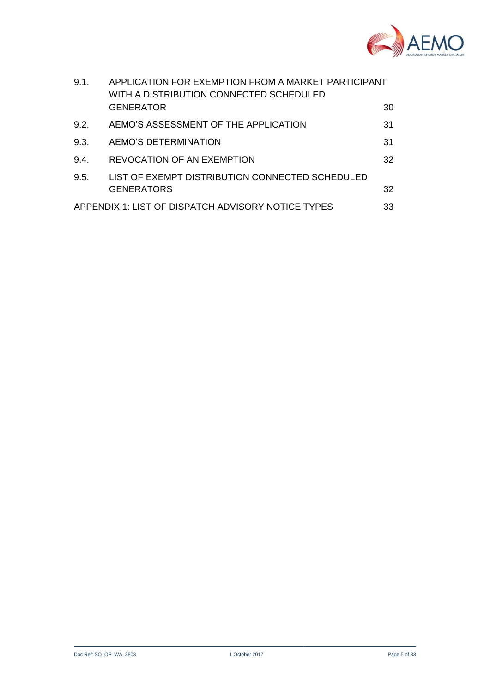

| 9.1.                                                     | APPLICATION FOR EXEMPTION FROM A MARKET PARTICIPANT<br>WITH A DISTRIBUTION CONNECTED SCHEDULED |    |
|----------------------------------------------------------|------------------------------------------------------------------------------------------------|----|
|                                                          | <b>GENERATOR</b>                                                                               | 30 |
| 9.2.                                                     | AEMO'S ASSESSMENT OF THE APPLICATION                                                           | 31 |
| 9.3.                                                     | AEMO'S DETERMINATION                                                                           | 31 |
| 9.4.                                                     | <b>REVOCATION OF AN EXEMPTION</b>                                                              | 32 |
| 9.5.                                                     | LIST OF EXEMPT DISTRIBUTION CONNECTED SCHEDULED<br><b>GENERATORS</b>                           | 32 |
| APPENDIX 1: LIST OF DISPATCH ADVISORY NOTICE TYPES<br>33 |                                                                                                |    |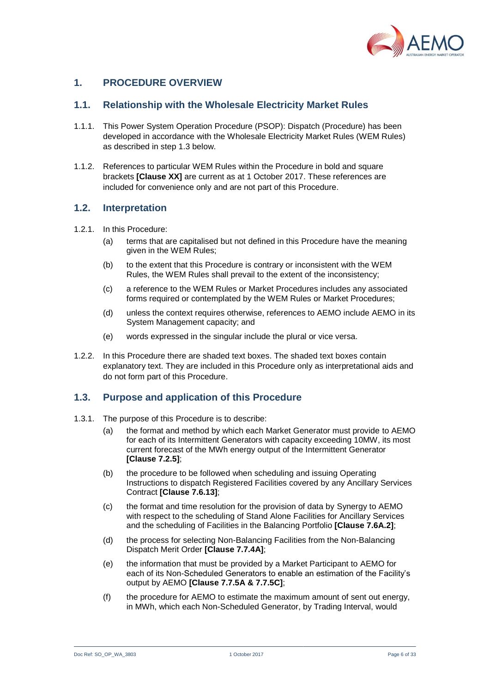

## <span id="page-5-0"></span>**1. PROCEDURE OVERVIEW**

#### **1.1. Relationship with the Wholesale Electricity Market Rules**

- 1.1.1. This Power System Operation Procedure (PSOP): Dispatch (Procedure) has been developed in accordance with the Wholesale Electricity Market Rules (WEM Rules) as described in step [1.3](#page-5-2) below.
- 1.1.2. References to particular WEM Rules within the Procedure in bold and square brackets **[Clause XX]** are current as at 1 October 2017. These references are included for convenience only and are not part of this Procedure.

#### <span id="page-5-1"></span>**1.2. Interpretation**

- 1.2.1. In this Procedure:
	- (a) terms that are capitalised but not defined in this Procedure have the meaning given in the WEM Rules;
	- (b) to the extent that this Procedure is contrary or inconsistent with the WEM Rules, the WEM Rules shall prevail to the extent of the inconsistency;
	- (c) a reference to the WEM Rules or Market Procedures includes any associated forms required or contemplated by the WEM Rules or Market Procedures;
	- (d) unless the context requires otherwise, references to AEMO include AEMO in its System Management capacity; and
	- (e) words expressed in the singular include the plural or vice versa.
- 1.2.2. In this Procedure there are shaded text boxes. The shaded text boxes contain explanatory text. They are included in this Procedure only as interpretational aids and do not form part of this Procedure.

#### <span id="page-5-2"></span>**1.3. Purpose and application of this Procedure**

- <span id="page-5-3"></span>1.3.1. The purpose of this Procedure is to describe:
	- (a) the format and method by which each Market Generator must provide to AEMO for each of its Intermittent Generators with capacity exceeding 10MW, its most current forecast of the MWh energy output of the Intermittent Generator **[Clause 7.2.5]**;
	- (b) the procedure to be followed when scheduling and issuing Operating Instructions to dispatch Registered Facilities covered by any Ancillary Services Contract **[Clause 7.6.13]**;
	- (c) the format and time resolution for the provision of data by Synergy to AEMO with respect to the scheduling of Stand Alone Facilities for Ancillary Services and the scheduling of Facilities in the Balancing Portfolio **[Clause 7.6A.2]**;
	- (d) the process for selecting Non-Balancing Facilities from the Non-Balancing Dispatch Merit Order **[Clause 7.7.4A]**;
	- (e) the information that must be provided by a Market Participant to AEMO for each of its Non-Scheduled Generators to enable an estimation of the Facility's output by AEMO **[Clause 7.7.5A & 7.7.5C]**;
	- (f) the procedure for AEMO to estimate the maximum amount of sent out energy, in MWh, which each Non-Scheduled Generator, by Trading Interval, would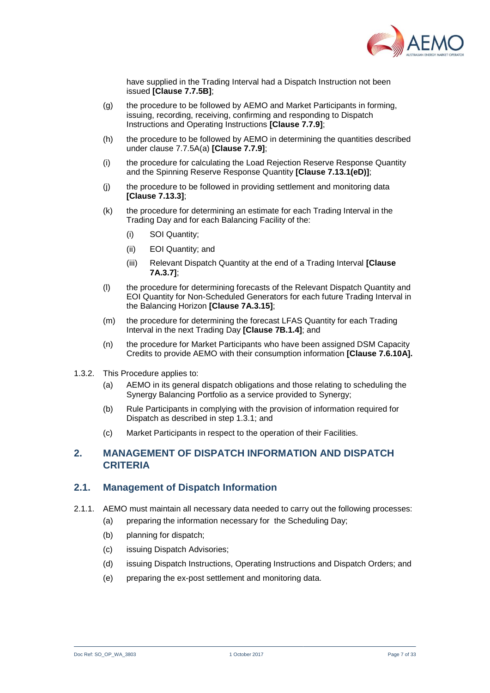

have supplied in the Trading Interval had a Dispatch Instruction not been issued **[Clause 7.7.5B]**;

- (g) the procedure to be followed by AEMO and Market Participants in forming, issuing, recording, receiving, confirming and responding to Dispatch Instructions and Operating Instructions **[Clause 7.7.9]**;
- (h) the procedure to be followed by AEMO in determining the quantities described under clause 7.7.5A(a) **[Clause 7.7.9]**;
- (i) the procedure for calculating the Load Rejection Reserve Response Quantity and the Spinning Reserve Response Quantity **[Clause 7.13.1(eD)]**;
- (j) the procedure to be followed in providing settlement and monitoring data **[Clause 7.13.3]**;
- (k) the procedure for determining an estimate for each Trading Interval in the Trading Day and for each Balancing Facility of the:
	- (i) SOI Quantity;
	- (ii) EOI Quantity; and
	- (iii) Relevant Dispatch Quantity at the end of a Trading Interval **[Clause 7A.3.7]**;
- (l) the procedure for determining forecasts of the Relevant Dispatch Quantity and EOI Quantity for Non-Scheduled Generators for each future Trading Interval in the Balancing Horizon **[Clause 7A.3.15]**;
- (m) the procedure for determining the forecast LFAS Quantity for each Trading Interval in the next Trading Day **[Clause 7B.1.4]**; and
- (n) the procedure for Market Participants who have been assigned DSM Capacity Credits to provide AEMO with their consumption information **[Clause 7.6.10A].**
- 1.3.2. This Procedure applies to:
	- (a) AEMO in its general dispatch obligations and those relating to scheduling the Synergy Balancing Portfolio as a service provided to Synergy;
	- (b) Rule Participants in complying with the provision of information required for Dispatch as described in step [1.3.1;](#page-5-3) and
	- (c) Market Participants in respect to the operation of their Facilities.

## <span id="page-6-0"></span>**2. MANAGEMENT OF DISPATCH INFORMATION AND DISPATCH CRITERIA**

#### <span id="page-6-1"></span>**2.1. Management of Dispatch Information**

- 2.1.1. AEMO must maintain all necessary data needed to carry out the following processes:
	- (a) preparing the information necessary for the Scheduling Day;
	- (b) planning for dispatch;
	- (c) issuing Dispatch Advisories;
	- (d) issuing Dispatch Instructions, Operating Instructions and Dispatch Orders; and
	- (e) preparing the ex-post settlement and monitoring data.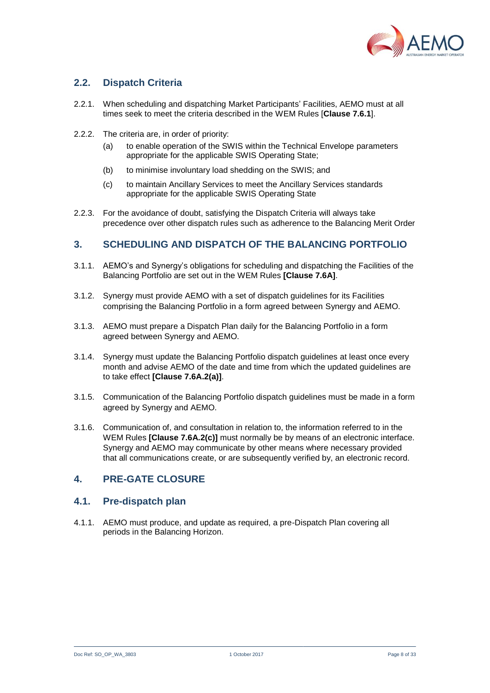

## <span id="page-7-0"></span>**2.2. Dispatch Criteria**

- 2.2.1. When scheduling and dispatching Market Participants' Facilities, AEMO must at all times seek to meet the criteria described in the WEM Rules [**Clause 7.6.1**].
- 2.2.2. The criteria are, in order of priority:
	- (a) to enable operation of the SWIS within the Technical Envelope parameters appropriate for the applicable SWIS Operating State;
	- (b) to minimise involuntary load shedding on the SWIS; and
	- (c) to maintain Ancillary Services to meet the Ancillary Services standards appropriate for the applicable SWIS Operating State
- 2.2.3. For the avoidance of doubt, satisfying the Dispatch Criteria will always take precedence over other dispatch rules such as adherence to the Balancing Merit Order

### <span id="page-7-1"></span>**3. SCHEDULING AND DISPATCH OF THE BALANCING PORTFOLIO**

- 3.1.1. AEMO's and Synergy's obligations for scheduling and dispatching the Facilities of the Balancing Portfolio are set out in the WEM Rules **[Clause 7.6A]**.
- <span id="page-7-5"></span>3.1.2. Synergy must provide AEMO with a set of dispatch guidelines for its Facilities comprising the Balancing Portfolio in a form agreed between Synergy and AEMO.
- 3.1.3. AEMO must prepare a Dispatch Plan daily for the Balancing Portfolio in a form agreed between Synergy and AEMO.
- 3.1.4. Synergy must update the Balancing Portfolio dispatch guidelines at least once every month and advise AEMO of the date and time from which the updated guidelines are to take effect **[Clause 7.6A.2(a)]**.
- 3.1.5. Communication of the Balancing Portfolio dispatch guidelines must be made in a form agreed by Synergy and AEMO.
- 3.1.6. Communication of, and consultation in relation to, the information referred to in the WEM Rules **[Clause 7.6A.2(c)]** must normally be by means of an electronic interface. Synergy and AEMO may communicate by other means where necessary provided that all communications create, or are subsequently verified by, an electronic record.

## <span id="page-7-2"></span>**4. PRE-GATE CLOSURE**

#### <span id="page-7-3"></span>**4.1. Pre-dispatch plan**

<span id="page-7-4"></span>4.1.1. AEMO must produce, and update as required, a pre-Dispatch Plan covering all periods in the Balancing Horizon.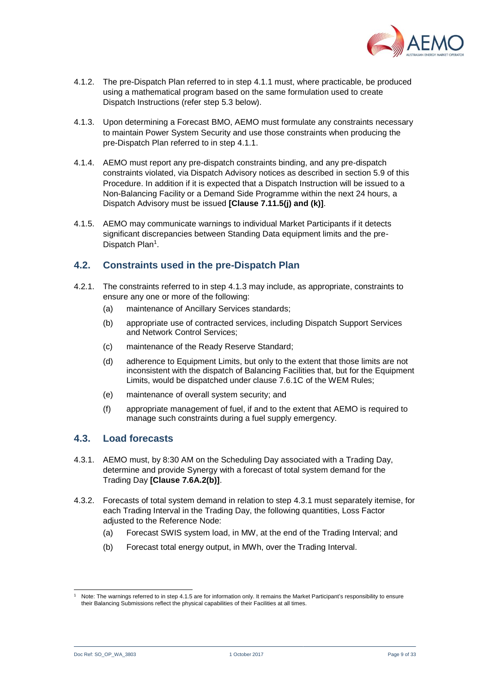

- 4.1.2. The pre-Dispatch Plan referred to in step [4.1.1](#page-7-4) must, where practicable, be produced using a mathematical program based on the same formulation used to create Dispatch Instructions (refer step [5.3](#page-15-0) below).
- <span id="page-8-2"></span>4.1.3. Upon determining a Forecast BMO, AEMO must formulate any constraints necessary to maintain Power System Security and use those constraints when producing the pre-Dispatch Plan referred to in step [4.1.1.](#page-7-4)
- 4.1.4. AEMO must report any pre-dispatch constraints binding, and any pre-dispatch constraints violated, via Dispatch Advisory notices as described in section [5.9](#page-21-1) of this Procedure. In addition if it is expected that a Dispatch Instruction will be issued to a Non-Balancing Facility or a Demand Side Programme within the next 24 hours, a Dispatch Advisory must be issued **[Clause 7.11.5(j) and (k)]**.
- <span id="page-8-4"></span>4.1.5. AEMO may communicate warnings to individual Market Participants if it detects significant discrepancies between Standing Data equipment limits and the pre-Dispatch Plan<sup>1</sup>.

#### <span id="page-8-0"></span>**4.2. Constraints used in the pre-Dispatch Plan**

- 4.2.1. The constraints referred to in step [4.1.3](#page-8-2) may include, as appropriate, constraints to ensure any one or more of the following:
	- (a) maintenance of Ancillary Services standards;
	- (b) appropriate use of contracted services, including Dispatch Support Services and Network Control Services;
	- (c) maintenance of the Ready Reserve Standard;
	- (d) adherence to Equipment Limits, but only to the extent that those limits are not inconsistent with the dispatch of Balancing Facilities that, but for the Equipment Limits, would be dispatched under clause 7.6.1C of the WEM Rules;
	- (e) maintenance of overall system security; and
	- (f) appropriate management of fuel, if and to the extent that AEMO is required to manage such constraints during a fuel supply emergency.

## <span id="page-8-1"></span>**4.3. Load forecasts**

- <span id="page-8-3"></span>4.3.1. AEMO must, by 8:30 AM on the Scheduling Day associated with a Trading Day, determine and provide Synergy with a forecast of total system demand for the Trading Day **[Clause 7.6A.2(b)]**.
- 4.3.2. Forecasts of total system demand in relation to step [4.3.1](#page-8-3) must separately itemise, for each Trading Interval in the Trading Day, the following quantities, Loss Factor adjusted to the Reference Node:
	- (a) Forecast SWIS system load, in MW, at the end of the Trading Interval; and
	- (b) Forecast total energy output, in MWh, over the Trading Interval.

l Note: The warnings referred to in ste[p 4.1.5](#page-8-4) are for information only. It remains the Market Participant's responsibility to ensure their Balancing Submissions reflect the physical capabilities of their Facilities at all times.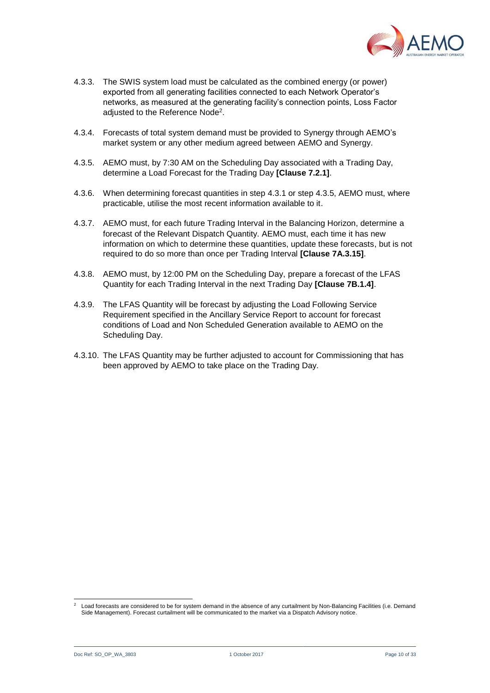

- 4.3.3. The SWIS system load must be calculated as the combined energy (or power) exported from all generating facilities connected to each Network Operator's networks, as measured at the generating facility's connection points, Loss Factor adjusted to the Reference Node<sup>2</sup>.
- 4.3.4. Forecasts of total system demand must be provided to Synergy through AEMO's market system or any other medium agreed between AEMO and Synergy.
- <span id="page-9-0"></span>4.3.5. AEMO must, by 7:30 AM on the Scheduling Day associated with a Trading Day, determine a Load Forecast for the Trading Day **[Clause 7.2.1]**.
- 4.3.6. When determining forecast quantities in step [4.3.1](#page-8-3) or step [4.3.5,](#page-9-0) AEMO must, where practicable, utilise the most recent information available to it.
- 4.3.7. AEMO must, for each future Trading Interval in the Balancing Horizon, determine a forecast of the Relevant Dispatch Quantity. AEMO must, each time it has new information on which to determine these quantities, update these forecasts, but is not required to do so more than once per Trading Interval **[Clause 7A.3.15]**.
- 4.3.8. AEMO must, by 12:00 PM on the Scheduling Day, prepare a forecast of the LFAS Quantity for each Trading Interval in the next Trading Day **[Clause 7B.1.4]**.
- 4.3.9. The LFAS Quantity will be forecast by adjusting the Load Following Service Requirement specified in the Ancillary Service Report to account for forecast conditions of Load and Non Scheduled Generation available to AEMO on the Scheduling Day.
- 4.3.10. The LFAS Quantity may be further adjusted to account for Commissioning that has been approved by AEMO to take place on the Trading Day.

l <sup>2</sup> Load forecasts are considered to be for system demand in the absence of any curtailment by Non-Balancing Facilities (i.e. Demand Side Management). Forecast curtailment will be communicated to the market via a Dispatch Advisory notice.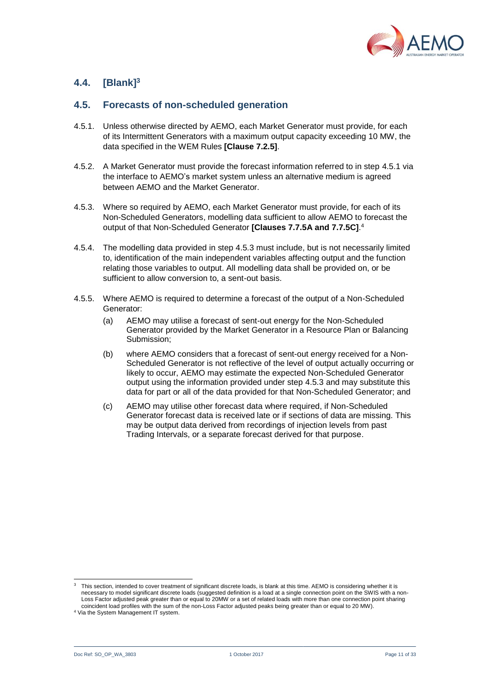

## <span id="page-10-0"></span>**4.4. [Blank]<sup>3</sup>**

#### <span id="page-10-1"></span>**4.5. Forecasts of non-scheduled generation**

- <span id="page-10-2"></span>4.5.1. Unless otherwise directed by AEMO, each Market Generator must provide, for each of its Intermittent Generators with a maximum output capacity exceeding 10 MW, the data specified in the WEM Rules **[Clause 7.2.5]**.
- 4.5.2. A Market Generator must provide the forecast information referred to in step [4.5.1](#page-10-2) via the interface to AEMO's market system unless an alternative medium is agreed between AEMO and the Market Generator.
- <span id="page-10-3"></span>4.5.3. Where so required by AEMO, each Market Generator must provide, for each of its Non-Scheduled Generators, modelling data sufficient to allow AEMO to forecast the output of that Non-Scheduled Generator **[Clauses 7.7.5A and 7.7.5C]**. 4
- 4.5.4. The modelling data provided in step [4.5.3](#page-10-3) must include, but is not necessarily limited to, identification of the main independent variables affecting output and the function relating those variables to output. All modelling data shall be provided on, or be sufficient to allow conversion to, a sent-out basis.
- 4.5.5. Where AEMO is required to determine a forecast of the output of a Non-Scheduled Generator:
	- (a) AEMO may utilise a forecast of sent-out energy for the Non-Scheduled Generator provided by the Market Generator in a Resource Plan or Balancing Submission;
	- (b) where AEMO considers that a forecast of sent-out energy received for a Non-Scheduled Generator is not reflective of the level of output actually occurring or likely to occur, AEMO may estimate the expected Non-Scheduled Generator output using the information provided under step [4.5.3](#page-10-3) and may substitute this data for part or all of the data provided for that Non-Scheduled Generator; and
	- (c) AEMO may utilise other forecast data where required, if Non-Scheduled Generator forecast data is received late or if sections of data are missing. This may be output data derived from recordings of injection levels from past Trading Intervals, or a separate forecast derived for that purpose.

 3 This section, intended to cover treatment of significant discrete loads, is blank at this time. AEMO is considering whether it is necessary to model significant discrete loads (suggested definition is a load at a single connection point on the SWIS with a non-Loss Factor adjusted peak greater than or equal to 20MW or a set of related loads with more than one connection point sharing coincident load profiles with the sum of the non-Loss Factor adjusted peaks being greater than or equal to 20 MW).

<sup>4</sup> Via the System Management IT system.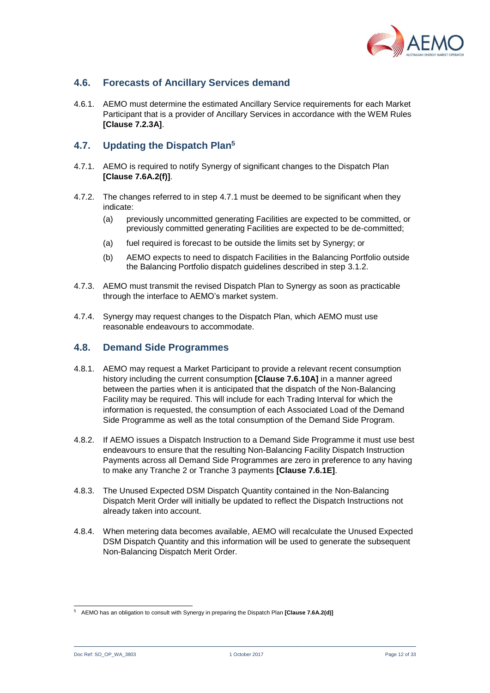

## <span id="page-11-0"></span>**4.6. Forecasts of Ancillary Services demand**

4.6.1. AEMO must determine the estimated Ancillary Service requirements for each Market Participant that is a provider of Ancillary Services in accordance with the WEM Rules **[Clause 7.2.3A]**.

#### <span id="page-11-1"></span>**4.7. Updating the Dispatch Plan<sup>5</sup>**

- <span id="page-11-3"></span>4.7.1. AEMO is required to notify Synergy of significant changes to the Dispatch Plan **[Clause 7.6A.2(f)]**.
- 4.7.2. The changes referred to in step [4.7.1](#page-11-3) must be deemed to be significant when they indicate:
	- (a) previously uncommitted generating Facilities are expected to be committed, or previously committed generating Facilities are expected to be de-committed;
	- (a) fuel required is forecast to be outside the limits set by Synergy; or
	- (b) AEMO expects to need to dispatch Facilities in the Balancing Portfolio outside the Balancing Portfolio dispatch guidelines described in step [3.1.2.](#page-7-5)
- 4.7.3. AEMO must transmit the revised Dispatch Plan to Synergy as soon as practicable through the interface to AEMO's market system.
- 4.7.4. Synergy may request changes to the Dispatch Plan, which AEMO must use reasonable endeavours to accommodate.

#### <span id="page-11-2"></span>**4.8. Demand Side Programmes**

- <span id="page-11-5"></span>4.8.1. AEMO may request a Market Participant to provide a relevant recent consumption history including the current consumption **[Clause 7.6.10A]** in a manner agreed between the parties when it is anticipated that the dispatch of the Non-Balancing Facility may be required. This will include for each Trading Interval for which the information is requested, the consumption of each Associated Load of the Demand Side Programme as well as the total consumption of the Demand Side Program.
- <span id="page-11-4"></span>4.8.2. If AEMO issues a Dispatch Instruction to a Demand Side Programme it must use best endeavours to ensure that the resulting Non-Balancing Facility Dispatch Instruction Payments across all Demand Side Programmes are zero in preference to any having to make any Tranche 2 or Tranche 3 payments **[Clause 7.6.1E]**.
- 4.8.3. The Unused Expected DSM Dispatch Quantity contained in the Non-Balancing Dispatch Merit Order will initially be updated to reflect the Dispatch Instructions not already taken into account.
- 4.8.4. When metering data becomes available, AEMO will recalculate the Unused Expected DSM Dispatch Quantity and this information will be used to generate the subsequent Non-Balancing Dispatch Merit Order.

Doc Ref: SO\_OP\_WA\_3803 1 October 2017 1 October 2017 1 October 2017 2 Case 12 of 33

 <sup>5</sup> AEMO has an obligation to consult with Synergy in preparing the Dispatch Plan **[Clause 7.6A.2(d)]**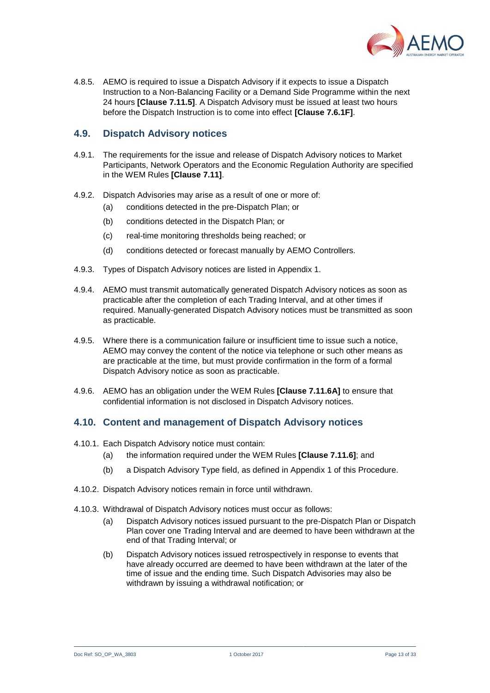

4.8.5. AEMO is required to issue a Dispatch Advisory if it expects to issue a Dispatch Instruction to a Non-Balancing Facility or a Demand Side Programme within the next 24 hours **[Clause 7.11.5]**. A Dispatch Advisory must be issued at least two hours before the Dispatch Instruction is to come into effect **[Clause 7.6.1F]**.

#### <span id="page-12-0"></span>**4.9. Dispatch Advisory notices**

- 4.9.1. The requirements for the issue and release of Dispatch Advisory notices to Market Participants, Network Operators and the Economic Regulation Authority are specified in the WEM Rules **[Clause 7.11]**.
- 4.9.2. Dispatch Advisories may arise as a result of one or more of:
	- (a) conditions detected in the pre-Dispatch Plan; or
	- (b) conditions detected in the Dispatch Plan; or
	- (c) real-time monitoring thresholds being reached; or
	- (d) conditions detected or forecast manually by AEMO Controllers.
- 4.9.3. Types of Dispatch Advisory notices are listed in Appendix 1.
- 4.9.4. AEMO must transmit automatically generated Dispatch Advisory notices as soon as practicable after the completion of each Trading Interval, and at other times if required. Manually-generated Dispatch Advisory notices must be transmitted as soon as practicable.
- 4.9.5. Where there is a communication failure or insufficient time to issue such a notice, AEMO may convey the content of the notice via telephone or such other means as are practicable at the time, but must provide confirmation in the form of a formal Dispatch Advisory notice as soon as practicable.
- 4.9.6. AEMO has an obligation under the WEM Rules **[Clause 7.11.6A]** to ensure that confidential information is not disclosed in Dispatch Advisory notices.

#### <span id="page-12-1"></span>**4.10. Content and management of Dispatch Advisory notices**

- 4.10.1. Each Dispatch Advisory notice must contain:
	- (a) the information required under the WEM Rules **[Clause 7.11.6]**; and
	- (b) a Dispatch Advisory Type field, as defined in Appendix 1 of this Procedure.
- 4.10.2. Dispatch Advisory notices remain in force until withdrawn.
- 4.10.3. Withdrawal of Dispatch Advisory notices must occur as follows:
	- (a) Dispatch Advisory notices issued pursuant to the pre-Dispatch Plan or Dispatch Plan cover one Trading Interval and are deemed to have been withdrawn at the end of that Trading Interval; or
	- (b) Dispatch Advisory notices issued retrospectively in response to events that have already occurred are deemed to have been withdrawn at the later of the time of issue and the ending time. Such Dispatch Advisories may also be withdrawn by issuing a withdrawal notification; or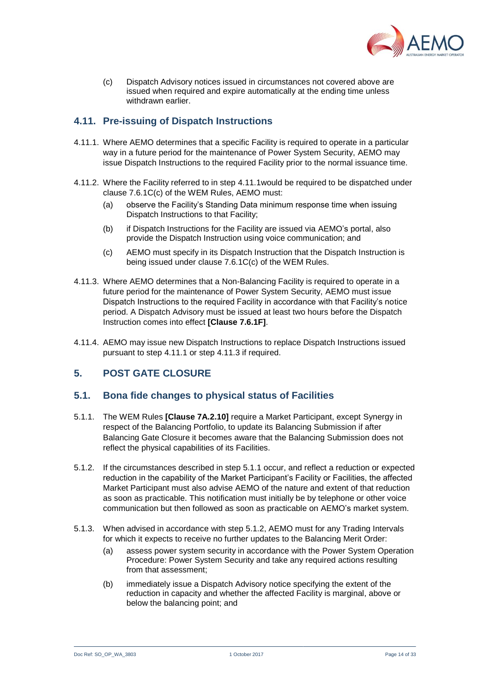

(c) Dispatch Advisory notices issued in circumstances not covered above are issued when required and expire automatically at the ending time unless withdrawn earlier.

## <span id="page-13-0"></span>**4.11. Pre-issuing of Dispatch Instructions**

- <span id="page-13-3"></span>4.11.1. Where AEMO determines that a specific Facility is required to operate in a particular way in a future period for the maintenance of Power System Security, AEMO may issue Dispatch Instructions to the required Facility prior to the normal issuance time.
- 4.11.2. Where the Facility referred to in step [4.11.1w](#page-13-3)ould be required to be dispatched under clause 7.6.1C(c) of the WEM Rules, AEMO must:
	- (a) observe the Facility's Standing Data minimum response time when issuing Dispatch Instructions to that Facility;
	- (b) if Dispatch Instructions for the Facility are issued via AEMO's portal, also provide the Dispatch Instruction using voice communication; and
	- (c) AEMO must specify in its Dispatch Instruction that the Dispatch Instruction is being issued under clause 7.6.1C(c) of the WEM Rules.
- <span id="page-13-4"></span>4.11.3. Where AEMO determines that a Non-Balancing Facility is required to operate in a future period for the maintenance of Power System Security, AEMO must issue Dispatch Instructions to the required Facility in accordance with that Facility's notice period. A Dispatch Advisory must be issued at least two hours before the Dispatch Instruction comes into effect **[Clause 7.6.1F]**.
- 4.11.4. AEMO may issue new Dispatch Instructions to replace Dispatch Instructions issued pursuant to step [4.11.1](#page-13-3) or ste[p 4.11.3](#page-13-4) if required.

#### <span id="page-13-1"></span>**5. POST GATE CLOSURE**

#### <span id="page-13-2"></span>**5.1. Bona fide changes to physical status of Facilities**

- <span id="page-13-5"></span>5.1.1. The WEM Rules **[Clause 7A.2.10]** require a Market Participant, except Synergy in respect of the Balancing Portfolio, to update its Balancing Submission if after Balancing Gate Closure it becomes aware that the Balancing Submission does not reflect the physical capabilities of its Facilities.
- <span id="page-13-6"></span>5.1.2. If the circumstances described in step [5.1.1](#page-13-5) occur, and reflect a reduction or expected reduction in the capability of the Market Participant's Facility or Facilities, the affected Market Participant must also advise AEMO of the nature and extent of that reduction as soon as practicable. This notification must initially be by telephone or other voice communication but then followed as soon as practicable on AEMO's market system.
- 5.1.3. When advised in accordance with step [5.1.2,](#page-13-6) AEMO must for any Trading Intervals for which it expects to receive no further updates to the Balancing Merit Order:
	- (a) assess power system security in accordance with the Power System Operation Procedure: Power System Security and take any required actions resulting from that assessment;
	- (b) immediately issue a Dispatch Advisory notice specifying the extent of the reduction in capacity and whether the affected Facility is marginal, above or below the balancing point; and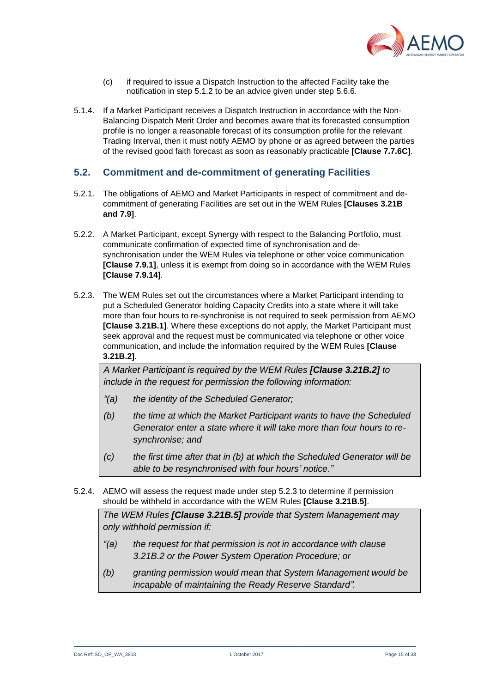

- (c) if required to issue a Dispatch Instruction to the affected Facility take the notification in step [5.1.2](#page-13-6) to be an advice given under step [5.6.6.](#page-19-0)
- 5.1.4. If a Market Participant receives a Dispatch Instruction in accordance with the Non-Balancing Dispatch Merit Order and becomes aware that its forecasted consumption profile is no longer a reasonable forecast of its consumption profile for the relevant Trading Interval, then it must notify AEMO by phone or as agreed between the parties of the revised good faith forecast as soon as reasonably practicable **[Clause 7.7.6C]**.

#### <span id="page-14-0"></span>**5.2. Commitment and de-commitment of generating Facilities**

- 5.2.1. The obligations of AEMO and Market Participants in respect of commitment and decommitment of generating Facilities are set out in the WEM Rules **[Clauses 3.21B and 7.9]**.
- 5.2.2. A Market Participant, except Synergy with respect to the Balancing Portfolio, must communicate confirmation of expected time of synchronisation and desynchronisation under the WEM Rules via telephone or other voice communication **[Clause 7.9.1]**, unless it is exempt from doing so in accordance with the WEM Rules **[Clause 7.9.14]**.
- <span id="page-14-1"></span>5.2.3. The WEM Rules set out the circumstances where a Market Participant intending to put a Scheduled Generator holding Capacity Credits into a state where it will take more than four hours to re-synchronise is not required to seek permission from AEMO **[Clause 3.21B.1]**. Where these exceptions do not apply, the Market Participant must seek approval and the request must be communicated via telephone or other voice communication, and include the information required by the WEM Rules **[Clause 3.21B.2]**.

*A Market Participant is required by the WEM Rules [Clause 3.21B.2] to include in the request for permission the following information:*

- *"(a) the identity of the Scheduled Generator;*
- *(b) the time at which the Market Participant wants to have the Scheduled Generator enter a state where it will take more than four hours to resynchronise; and*
- *(c) the first time after that in (b) at which the Scheduled Generator will be able to be resynchronised with four hours' notice."*
- 5.2.4. AEMO will assess the request made under step [5.2.3](#page-14-1) to determine if permission should be withheld in accordance with the WEM Rules **[Clause 3.21B.5]**.

*The WEM Rules [Clause 3.21B.5] provide that System Management may only withhold permission if:*

- *"(a) the request for that permission is not in accordance with clause 3.21B.2 or the Power System Operation Procedure; or*
- *(b) granting permission would mean that System Management would be incapable of maintaining the Ready Reserve Standard".*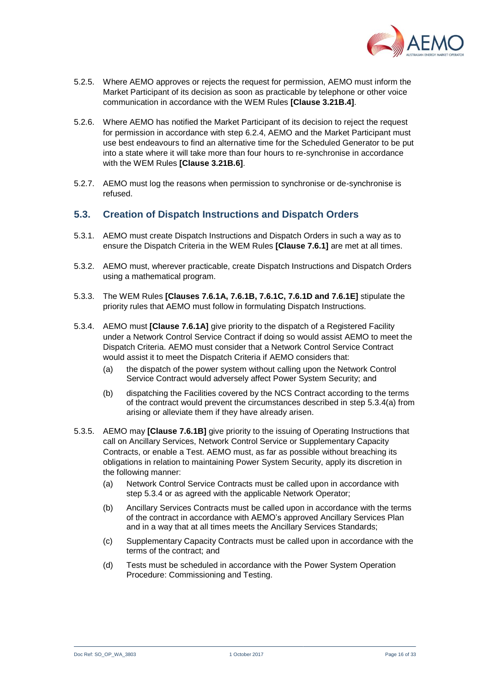

- 5.2.5. Where AEMO approves or rejects the request for permission, AEMO must inform the Market Participant of its decision as soon as practicable by telephone or other voice communication in accordance with the WEM Rules **[Clause 3.21B.4]**.
- 5.2.6. Where AEMO has notified the Market Participant of its decision to reject the request for permission in accordance with step [6.2.4,](#page-23-2) AEMO and the Market Participant must use best endeavours to find an alternative time for the Scheduled Generator to be put into a state where it will take more than four hours to re-synchronise in accordance with the WEM Rules **[Clause 3.21B.6]**.
- 5.2.7. AEMO must log the reasons when permission to synchronise or de-synchronise is refused.

#### <span id="page-15-0"></span>**5.3. Creation of Dispatch Instructions and Dispatch Orders**

- 5.3.1. AEMO must create Dispatch Instructions and Dispatch Orders in such a way as to ensure the Dispatch Criteria in the WEM Rules **[Clause 7.6.1]** are met at all times.
- 5.3.2. AEMO must, wherever practicable, create Dispatch Instructions and Dispatch Orders using a mathematical program.
- 5.3.3. The WEM Rules **[Clauses 7.6.1A, 7.6.1B, 7.6.1C, 7.6.1D and 7.6.1E]** stipulate the priority rules that AEMO must follow in formulating Dispatch Instructions.
- <span id="page-15-1"></span>5.3.4. AEMO must **[Clause 7.6.1A]** give priority to the dispatch of a Registered Facility under a Network Control Service Contract if doing so would assist AEMO to meet the Dispatch Criteria. AEMO must consider that a Network Control Service Contract would assist it to meet the Dispatch Criteria if AEMO considers that:
	- (a) the dispatch of the power system without calling upon the Network Control Service Contract would adversely affect Power System Security; and
	- (b) dispatching the Facilities covered by the NCS Contract according to the terms of the contract would prevent the circumstances described in step [5.3.4\(a\)](#page-15-1) from arising or alleviate them if they have already arisen.
- 5.3.5. AEMO may **[Clause 7.6.1B]** give priority to the issuing of Operating Instructions that call on Ancillary Services, Network Control Service or Supplementary Capacity Contracts, or enable a Test. AEMO must, as far as possible without breaching its obligations in relation to maintaining Power System Security, apply its discretion in the following manner:
	- (a) Network Control Service Contracts must be called upon in accordance with step [5.3.4](#page-15-1) or as agreed with the applicable Network Operator;
	- (b) Ancillary Services Contracts must be called upon in accordance with the terms of the contract in accordance with AEMO's approved Ancillary Services Plan and in a way that at all times meets the Ancillary Services Standards;
	- (c) Supplementary Capacity Contracts must be called upon in accordance with the terms of the contract; and
	- (d) Tests must be scheduled in accordance with the Power System Operation Procedure: Commissioning and Testing.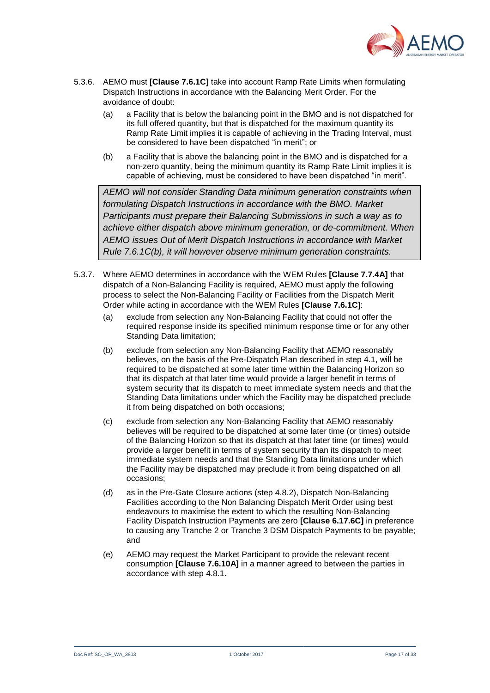

- 5.3.6. AEMO must **[Clause 7.6.1C]** take into account Ramp Rate Limits when formulating Dispatch Instructions in accordance with the Balancing Merit Order. For the avoidance of doubt:
	- (a) a Facility that is below the balancing point in the BMO and is not dispatched for its full offered quantity, but that is dispatched for the maximum quantity its Ramp Rate Limit implies it is capable of achieving in the Trading Interval, must be considered to have been dispatched "in merit"; or
	- (b) a Facility that is above the balancing point in the BMO and is dispatched for a non-zero quantity, being the minimum quantity its Ramp Rate Limit implies it is capable of achieving, must be considered to have been dispatched "in merit".

*AEMO will not consider Standing Data minimum generation constraints when formulating Dispatch Instructions in accordance with the BMO. Market Participants must prepare their Balancing Submissions in such a way as to achieve either dispatch above minimum generation, or de-commitment. When AEMO issues Out of Merit Dispatch Instructions in accordance with Market Rule 7.6.1C(b), it will however observe minimum generation constraints.*

- 5.3.7. Where AEMO determines in accordance with the WEM Rules **[Clause 7.7.4A]** that dispatch of a Non-Balancing Facility is required, AEMO must apply the following process to select the Non-Balancing Facility or Facilities from the Dispatch Merit Order while acting in accordance with the WEM Rules **[Clause 7.6.1C]**:
	- (a) exclude from selection any Non-Balancing Facility that could not offer the required response inside its specified minimum response time or for any other Standing Data limitation;
	- (b) exclude from selection any Non-Balancing Facility that AEMO reasonably believes, on the basis of the Pre-Dispatch Plan described in step [4.1,](#page-7-3) will be required to be dispatched at some later time within the Balancing Horizon so that its dispatch at that later time would provide a larger benefit in terms of system security that its dispatch to meet immediate system needs and that the Standing Data limitations under which the Facility may be dispatched preclude it from being dispatched on both occasions;
	- (c) exclude from selection any Non-Balancing Facility that AEMO reasonably believes will be required to be dispatched at some later time (or times) outside of the Balancing Horizon so that its dispatch at that later time (or times) would provide a larger benefit in terms of system security than its dispatch to meet immediate system needs and that the Standing Data limitations under which the Facility may be dispatched may preclude it from being dispatched on all occasions;
	- (d) as in the Pre-Gate Closure actions (step [4.8.2\)](#page-11-4), Dispatch Non-Balancing Facilities according to the Non Balancing Dispatch Merit Order using best endeavours to maximise the extent to which the resulting Non-Balancing Facility Dispatch Instruction Payments are zero **[Clause 6.17.6C]** in preference to causing any Tranche 2 or Tranche 3 DSM Dispatch Payments to be payable; and
	- (e) AEMO may request the Market Participant to provide the relevant recent consumption **[Clause 7.6.10A]** in a manner agreed to between the parties in accordance with step [4.8.1.](#page-11-5)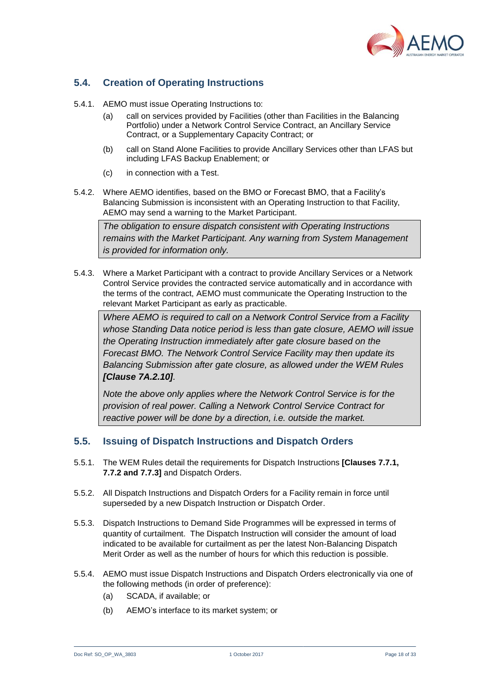

## <span id="page-17-0"></span>**5.4. Creation of Operating Instructions**

- 5.4.1. AEMO must issue Operating Instructions to:
	- (a) call on services provided by Facilities (other than Facilities in the Balancing Portfolio) under a Network Control Service Contract, an Ancillary Service Contract, or a Supplementary Capacity Contract; or
	- (b) call on Stand Alone Facilities to provide Ancillary Services other than LFAS but including LFAS Backup Enablement; or
	- (c) in connection with a Test.
- 5.4.2. Where AEMO identifies, based on the BMO or Forecast BMO, that a Facility's Balancing Submission is inconsistent with an Operating Instruction to that Facility, AEMO may send a warning to the Market Participant.

*The obligation to ensure dispatch consistent with Operating Instructions remains with the Market Participant. Any warning from System Management is provided for information only.*

5.4.3. Where a Market Participant with a contract to provide Ancillary Services or a Network Control Service provides the contracted service automatically and in accordance with the terms of the contract, AEMO must communicate the Operating Instruction to the relevant Market Participant as early as practicable.

*Where AEMO is required to call on a Network Control Service from a Facility whose Standing Data notice period is less than gate closure, AEMO will issue the Operating Instruction immediately after gate closure based on the Forecast BMO. The Network Control Service Facility may then update its Balancing Submission after gate closure, as allowed under the WEM Rules [Clause 7A.2.10].*

*Note the above only applies where the Network Control Service is for the provision of real power. Calling a Network Control Service Contract for reactive power will be done by a direction, i.e. outside the market.*

#### <span id="page-17-1"></span>**5.5. Issuing of Dispatch Instructions and Dispatch Orders**

- 5.5.1. The WEM Rules detail the requirements for Dispatch Instructions **[Clauses 7.7.1, 7.7.2 and 7.7.3]** and Dispatch Orders.
- 5.5.2. All Dispatch Instructions and Dispatch Orders for a Facility remain in force until superseded by a new Dispatch Instruction or Dispatch Order.
- 5.5.3. Dispatch Instructions to Demand Side Programmes will be expressed in terms of quantity of curtailment. The Dispatch Instruction will consider the amount of load indicated to be available for curtailment as per the latest Non-Balancing Dispatch Merit Order as well as the number of hours for which this reduction is possible.
- <span id="page-17-2"></span>5.5.4. AEMO must issue Dispatch Instructions and Dispatch Orders electronically via one of the following methods (in order of preference):
	- (a) SCADA, if available; or
	- (b) AEMO's interface to its market system; or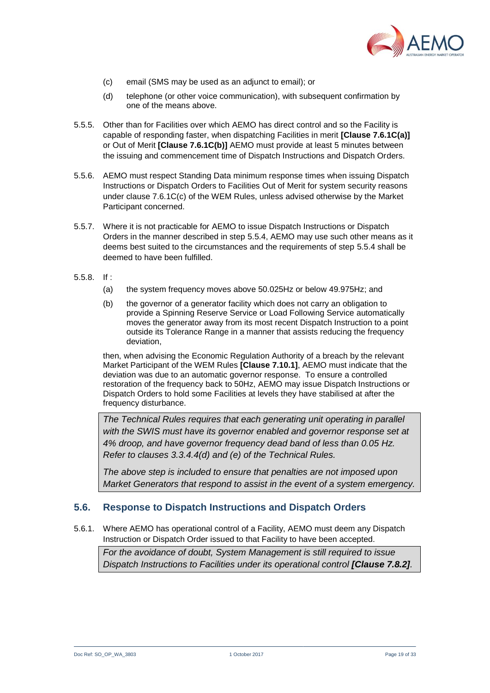

- (c) email (SMS may be used as an adjunct to email); or
- (d) telephone (or other voice communication), with subsequent confirmation by one of the means above.
- 5.5.5. Other than for Facilities over which AEMO has direct control and so the Facility is capable of responding faster, when dispatching Facilities in merit **[Clause 7.6.1C(a)]** or Out of Merit **[Clause 7.6.1C(b)]** AEMO must provide at least 5 minutes between the issuing and commencement time of Dispatch Instructions and Dispatch Orders.
- 5.5.6. AEMO must respect Standing Data minimum response times when issuing Dispatch Instructions or Dispatch Orders to Facilities Out of Merit for system security reasons under clause 7.6.1C(c) of the WEM Rules, unless advised otherwise by the Market Participant concerned.
- 5.5.7. Where it is not practicable for AEMO to issue Dispatch Instructions or Dispatch Orders in the manner described in step [5.5.4,](#page-17-2) AEMO may use such other means as it deems best suited to the circumstances and the requirements of step [5.5.4](#page-17-2) shall be deemed to have been fulfilled.
- 5.5.8. If :
	- (a) the system frequency moves above 50.025Hz or below 49.975Hz; and
	- (b) the governor of a generator facility which does not carry an obligation to provide a Spinning Reserve Service or Load Following Service automatically moves the generator away from its most recent Dispatch Instruction to a point outside its Tolerance Range in a manner that assists reducing the frequency deviation,

then, when advising the Economic Regulation Authority of a breach by the relevant Market Participant of the WEM Rules **[Clause 7.10.1]**, AEMO must indicate that the deviation was due to an automatic governor response. To ensure a controlled restoration of the frequency back to 50Hz, AEMO may issue Dispatch Instructions or Dispatch Orders to hold some Facilities at levels they have stabilised at after the frequency disturbance.

*The Technical Rules requires that each generating unit operating in parallel*  with the SWIS must have its governor enabled and governor response set at *4% droop, and have governor frequency dead band of less than 0.05 Hz. Refer to clauses 3.3.4.4(d) and (e) of the Technical Rules.*

*The above step is included to ensure that penalties are not imposed upon Market Generators that respond to assist in the event of a system emergency.*

#### <span id="page-18-0"></span>**5.6. Response to Dispatch Instructions and Dispatch Orders**

5.6.1. Where AEMO has operational control of a Facility, AEMO must deem any Dispatch Instruction or Dispatch Order issued to that Facility to have been accepted.

*For the avoidance of doubt, System Management is still required to issue Dispatch Instructions to Facilities under its operational control [Clause 7.8.2].*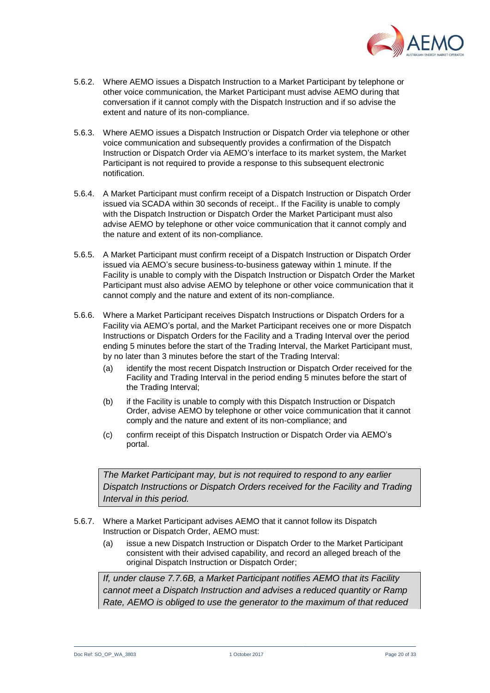

- 5.6.2. Where AEMO issues a Dispatch Instruction to a Market Participant by telephone or other voice communication, the Market Participant must advise AEMO during that conversation if it cannot comply with the Dispatch Instruction and if so advise the extent and nature of its non-compliance.
- 5.6.3. Where AEMO issues a Dispatch Instruction or Dispatch Order via telephone or other voice communication and subsequently provides a confirmation of the Dispatch Instruction or Dispatch Order via AEMO's interface to its market system, the Market Participant is not required to provide a response to this subsequent electronic notification.
- 5.6.4. A Market Participant must confirm receipt of a Dispatch Instruction or Dispatch Order issued via SCADA within 30 seconds of receipt.. If the Facility is unable to comply with the Dispatch Instruction or Dispatch Order the Market Participant must also advise AEMO by telephone or other voice communication that it cannot comply and the nature and extent of its non-compliance.
- 5.6.5. A Market Participant must confirm receipt of a Dispatch Instruction or Dispatch Order issued via AEMO's secure business-to-business gateway within 1 minute. If the Facility is unable to comply with the Dispatch Instruction or Dispatch Order the Market Participant must also advise AEMO by telephone or other voice communication that it cannot comply and the nature and extent of its non-compliance.
- <span id="page-19-0"></span>5.6.6. Where a Market Participant receives Dispatch Instructions or Dispatch Orders for a Facility via AEMO's portal, and the Market Participant receives one or more Dispatch Instructions or Dispatch Orders for the Facility and a Trading Interval over the period ending 5 minutes before the start of the Trading Interval, the Market Participant must, by no later than 3 minutes before the start of the Trading Interval:
	- (a) identify the most recent Dispatch Instruction or Dispatch Order received for the Facility and Trading Interval in the period ending 5 minutes before the start of the Trading Interval;
	- (b) if the Facility is unable to comply with this Dispatch Instruction or Dispatch Order, advise AEMO by telephone or other voice communication that it cannot comply and the nature and extent of its non-compliance; and
	- (c) confirm receipt of this Dispatch Instruction or Dispatch Order via AEMO's portal.

*The Market Participant may, but is not required to respond to any earlier Dispatch Instructions or Dispatch Orders received for the Facility and Trading Interval in this period.*

- 5.6.7. Where a Market Participant advises AEMO that it cannot follow its Dispatch Instruction or Dispatch Order, AEMO must:
	- (a) issue a new Dispatch Instruction or Dispatch Order to the Market Participant consistent with their advised capability, and record an alleged breach of the original Dispatch Instruction or Dispatch Order;

*If, under clause 7.7.6B, a Market Participant notifies AEMO that its Facility cannot meet a Dispatch Instruction and advises a reduced quantity or Ramp Rate, AEMO is obliged to use the generator to the maximum of that reduced*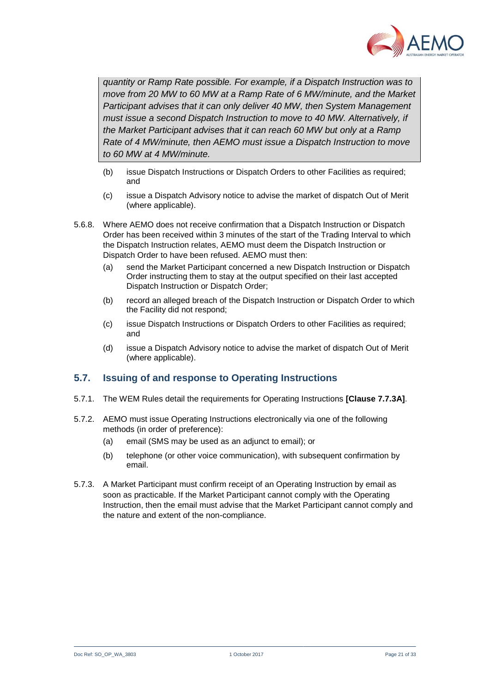

*quantity or Ramp Rate possible. For example, if a Dispatch Instruction was to move from 20 MW to 60 MW at a Ramp Rate of 6 MW/minute, and the Market Participant advises that it can only deliver 40 MW, then System Management must issue a second Dispatch Instruction to move to 40 MW. Alternatively, if the Market Participant advises that it can reach 60 MW but only at a Ramp Rate of 4 MW/minute, then AEMO must issue a Dispatch Instruction to move to 60 MW at 4 MW/minute.*

- (b) issue Dispatch Instructions or Dispatch Orders to other Facilities as required; and
- (c) issue a Dispatch Advisory notice to advise the market of dispatch Out of Merit (where applicable).
- 5.6.8. Where AEMO does not receive confirmation that a Dispatch Instruction or Dispatch Order has been received within 3 minutes of the start of the Trading Interval to which the Dispatch Instruction relates, AEMO must deem the Dispatch Instruction or Dispatch Order to have been refused. AEMO must then:
	- (a) send the Market Participant concerned a new Dispatch Instruction or Dispatch Order instructing them to stay at the output specified on their last accepted Dispatch Instruction or Dispatch Order;
	- (b) record an alleged breach of the Dispatch Instruction or Dispatch Order to which the Facility did not respond;
	- (c) issue Dispatch Instructions or Dispatch Orders to other Facilities as required; and
	- (d) issue a Dispatch Advisory notice to advise the market of dispatch Out of Merit (where applicable).

## <span id="page-20-0"></span>**5.7. Issuing of and response to Operating Instructions**

- 5.7.1. The WEM Rules detail the requirements for Operating Instructions **[Clause 7.7.3A]**.
- 5.7.2. AEMO must issue Operating Instructions electronically via one of the following methods (in order of preference):
	- (a) email (SMS may be used as an adjunct to email); or
	- (b) telephone (or other voice communication), with subsequent confirmation by email.
- 5.7.3. A Market Participant must confirm receipt of an Operating Instruction by email as soon as practicable. If the Market Participant cannot comply with the Operating Instruction, then the email must advise that the Market Participant cannot comply and the nature and extent of the non-compliance.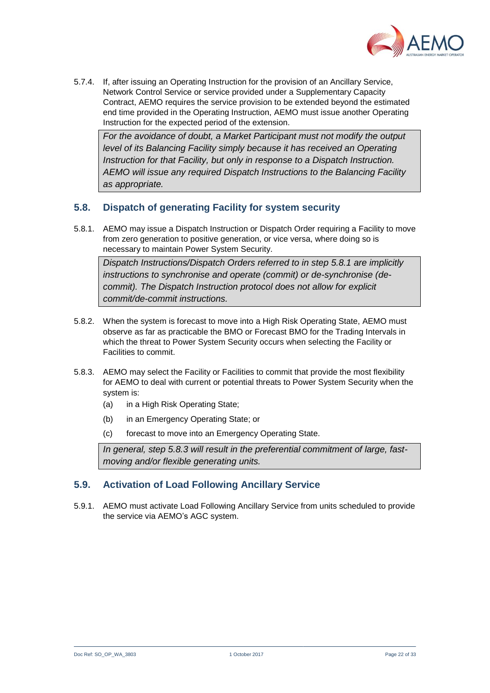

5.7.4. If, after issuing an Operating Instruction for the provision of an Ancillary Service, Network Control Service or service provided under a Supplementary Capacity Contract, AEMO requires the service provision to be extended beyond the estimated end time provided in the Operating Instruction, AEMO must issue another Operating Instruction for the expected period of the extension.

*For the avoidance of doubt, a Market Participant must not modify the output level of its Balancing Facility simply because it has received an Operating Instruction for that Facility, but only in response to a Dispatch Instruction. AEMO will issue any required Dispatch Instructions to the Balancing Facility as appropriate.*

#### <span id="page-21-0"></span>**5.8. Dispatch of generating Facility for system security**

<span id="page-21-2"></span>5.8.1. AEMO may issue a Dispatch Instruction or Dispatch Order requiring a Facility to move from zero generation to positive generation, or vice versa, where doing so is necessary to maintain Power System Security.

*Dispatch Instructions/Dispatch Orders referred to in step [5.8.1](#page-21-2) are implicitly instructions to synchronise and operate (commit) or de-synchronise (decommit). The Dispatch Instruction protocol does not allow for explicit commit/de-commit instructions.*

- 5.8.2. When the system is forecast to move into a High Risk Operating State, AEMO must observe as far as practicable the BMO or Forecast BMO for the Trading Intervals in which the threat to Power System Security occurs when selecting the Facility or Facilities to commit.
- <span id="page-21-3"></span>5.8.3. AEMO may select the Facility or Facilities to commit that provide the most flexibility for AEMO to deal with current or potential threats to Power System Security when the system is:
	- (a) in a High Risk Operating State;
	- (b) in an Emergency Operating State; or
	- (c) forecast to move into an Emergency Operating State.

*In general, step [5.8.3](#page-21-3) will result in the preferential commitment of large, fastmoving and/or flexible generating units.*

#### <span id="page-21-1"></span>**5.9. Activation of Load Following Ancillary Service**

5.9.1. AEMO must activate Load Following Ancillary Service from units scheduled to provide the service via AEMO's AGC system.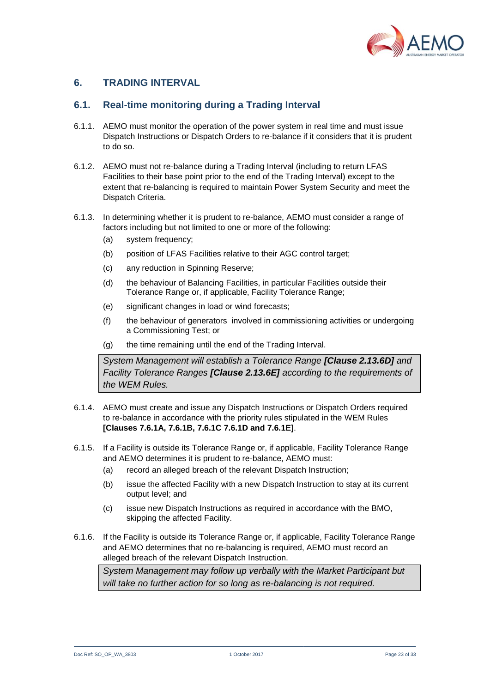

## <span id="page-22-0"></span>**6. TRADING INTERVAL**

#### <span id="page-22-1"></span>**6.1. Real-time monitoring during a Trading Interval**

- 6.1.1. AEMO must monitor the operation of the power system in real time and must issue Dispatch Instructions or Dispatch Orders to re-balance if it considers that it is prudent to do so.
- 6.1.2. AEMO must not re-balance during a Trading Interval (including to return LFAS Facilities to their base point prior to the end of the Trading Interval) except to the extent that re-balancing is required to maintain Power System Security and meet the Dispatch Criteria.
- 6.1.3. In determining whether it is prudent to re-balance, AEMO must consider a range of factors including but not limited to one or more of the following:
	- (a) system frequency;
	- (b) position of LFAS Facilities relative to their AGC control target;
	- (c) any reduction in Spinning Reserve;
	- (d) the behaviour of Balancing Facilities, in particular Facilities outside their Tolerance Range or, if applicable, Facility Tolerance Range;
	- (e) significant changes in load or wind forecasts;
	- (f) the behaviour of generators involved in commissioning activities or undergoing a Commissioning Test; or
	- (g) the time remaining until the end of the Trading Interval.

*System Management will establish a Tolerance Range [Clause 2.13.6D] and Facility Tolerance Ranges [Clause 2.13.6E] according to the requirements of the WEM Rules.* 

- 6.1.4. AEMO must create and issue any Dispatch Instructions or Dispatch Orders required to re-balance in accordance with the priority rules stipulated in the WEM Rules **[Clauses 7.6.1A, 7.6.1B, 7.6.1C 7.6.1D and 7.6.1E]**.
- 6.1.5. If a Facility is outside its Tolerance Range or, if applicable, Facility Tolerance Range and AEMO determines it is prudent to re-balance, AEMO must:
	- (a) record an alleged breach of the relevant Dispatch Instruction;
	- (b) issue the affected Facility with a new Dispatch Instruction to stay at its current output level; and
	- (c) issue new Dispatch Instructions as required in accordance with the BMO, skipping the affected Facility.
- 6.1.6. If the Facility is outside its Tolerance Range or, if applicable, Facility Tolerance Range and AEMO determines that no re-balancing is required, AEMO must record an alleged breach of the relevant Dispatch Instruction.

*System Management may follow up verbally with the Market Participant but will take no further action for so long as re-balancing is not required.*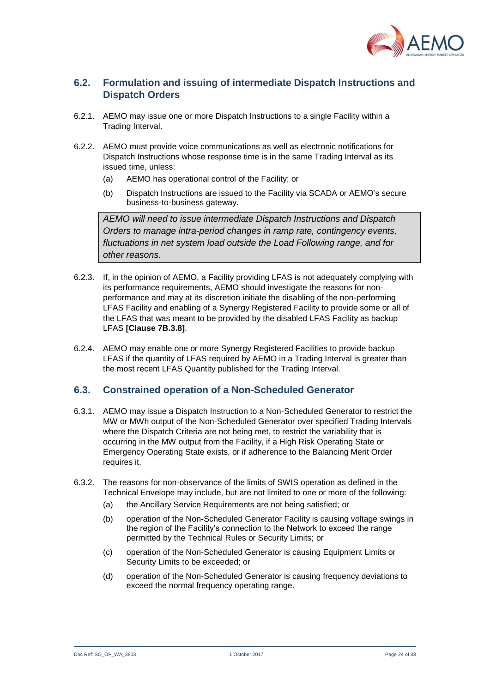

## <span id="page-23-0"></span>**6.2. Formulation and issuing of intermediate Dispatch Instructions and Dispatch Orders**

- 6.2.1. AEMO may issue one or more Dispatch Instructions to a single Facility within a Trading Interval.
- 6.2.2. AEMO must provide voice communications as well as electronic notifications for Dispatch Instructions whose response time is in the same Trading Interval as its issued time, unless:
	- (a) AEMO has operational control of the Facility; or
	- (b) Dispatch Instructions are issued to the Facility via SCADA or AEMO's secure business-to-business gateway.

*AEMO will need to issue intermediate Dispatch Instructions and Dispatch Orders to manage intra-period changes in ramp rate, contingency events, fluctuations in net system load outside the Load Following range, and for other reasons.* 

- 6.2.3. If, in the opinion of AEMO, a Facility providing LFAS is not adequately complying with its performance requirements, AEMO should investigate the reasons for nonperformance and may at its discretion initiate the disabling of the non-performing LFAS Facility and enabling of a Synergy Registered Facility to provide some or all of the LFAS that was meant to be provided by the disabled LFAS Facility as backup LFAS **[Clause 7B.3.8]**.
- <span id="page-23-2"></span>6.2.4. AEMO may enable one or more Synergy Registered Facilities to provide backup LFAS if the quantity of LFAS required by AEMO in a Trading Interval is greater than the most recent LFAS Quantity published for the Trading Interval.

#### <span id="page-23-1"></span>**6.3. Constrained operation of a Non-Scheduled Generator**

- 6.3.1. AEMO may issue a Dispatch Instruction to a Non-Scheduled Generator to restrict the MW or MWh output of the Non-Scheduled Generator over specified Trading Intervals where the Dispatch Criteria are not being met, to restrict the variability that is occurring in the MW output from the Facility, if a High Risk Operating State or Emergency Operating State exists, or if adherence to the Balancing Merit Order requires it.
- 6.3.2. The reasons for non-observance of the limits of SWIS operation as defined in the Technical Envelope may include, but are not limited to one or more of the following:
	- (a) the Ancillary Service Requirements are not being satisfied; or
	- (b) operation of the Non-Scheduled Generator Facility is causing voltage swings in the region of the Facility's connection to the Network to exceed the range permitted by the Technical Rules or Security Limits; or
	- (c) operation of the Non-Scheduled Generator is causing Equipment Limits or Security Limits to be exceeded; or
	- (d) operation of the Non-Scheduled Generator is causing frequency deviations to exceed the normal frequency operating range.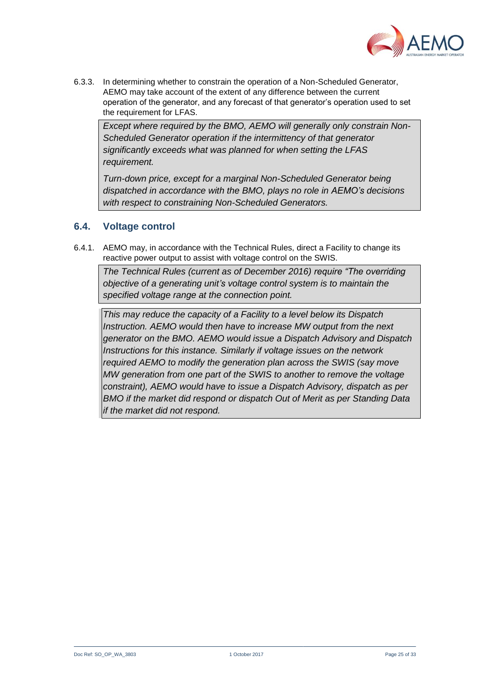

6.3.3. In determining whether to constrain the operation of a Non-Scheduled Generator, AEMO may take account of the extent of any difference between the current operation of the generator, and any forecast of that generator's operation used to set the requirement for LFAS.

*Except where required by the BMO, AEMO will generally only constrain Non-Scheduled Generator operation if the intermittency of that generator significantly exceeds what was planned for when setting the LFAS requirement.*

*Turn-down price, except for a marginal Non-Scheduled Generator being dispatched in accordance with the BMO, plays no role in AEMO's decisions with respect to constraining Non-Scheduled Generators.*

#### <span id="page-24-0"></span>**6.4. Voltage control**

6.4.1. AEMO may, in accordance with the Technical Rules, direct a Facility to change its reactive power output to assist with voltage control on the SWIS.

*The Technical Rules (current as of December 2016) require "The overriding objective of a generating unit's voltage control system is to maintain the specified voltage range at the connection point.* 

*This may reduce the capacity of a Facility to a level below its Dispatch Instruction. AEMO would then have to increase MW output from the next generator on the BMO. AEMO would issue a Dispatch Advisory and Dispatch Instructions for this instance. Similarly if voltage issues on the network required AEMO to modify the generation plan across the SWIS (say move MW generation from one part of the SWIS to another to remove the voltage constraint), AEMO would have to issue a Dispatch Advisory, dispatch as per BMO if the market did respond or dispatch Out of Merit as per Standing Data if the market did not respond.*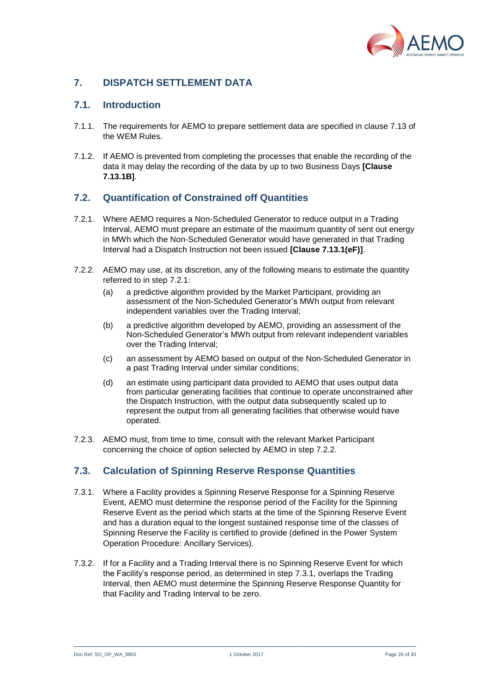

## <span id="page-25-0"></span>**7. DISPATCH SETTLEMENT DATA**

#### <span id="page-25-1"></span>**7.1. Introduction**

- 7.1.1. The requirements for AEMO to prepare settlement data are specified in clause 7.13 of the WEM Rules.
- 7.1.2. If AEMO is prevented from completing the processes that enable the recording of the data it may delay the recording of the data by up to two Business Days **[Clause 7.13.1B]**.

## <span id="page-25-2"></span>**7.2. Quantification of Constrained off Quantities**

- <span id="page-25-4"></span>7.2.1. Where AEMO requires a Non-Scheduled Generator to reduce output in a Trading Interval, AEMO must prepare an estimate of the maximum quantity of sent out energy in MWh which the Non-Scheduled Generator would have generated in that Trading Interval had a Dispatch Instruction not been issued **[Clause 7.13.1(eF)]**.
- <span id="page-25-5"></span>7.2.2. AEMO may use, at its discretion, any of the following means to estimate the quantity referred to in step [7.2.1:](#page-25-4)
	- (a) a predictive algorithm provided by the Market Participant, providing an assessment of the Non-Scheduled Generator's MWh output from relevant independent variables over the Trading Interval;
	- (b) a predictive algorithm developed by AEMO, providing an assessment of the Non-Scheduled Generator's MWh output from relevant independent variables over the Trading Interval;
	- (c) an assessment by AEMO based on output of the Non-Scheduled Generator in a past Trading Interval under similar conditions;
	- (d) an estimate using participant data provided to AEMO that uses output data from particular generating facilities that continue to operate unconstrained after the Dispatch Instruction, with the output data subsequently scaled up to represent the output from all generating facilities that otherwise would have operated.
- 7.2.3. AEMO must, from time to time, consult with the relevant Market Participant concerning the choice of option selected by AEMO in step [7.2.2.](#page-25-5)

#### <span id="page-25-3"></span>**7.3. Calculation of Spinning Reserve Response Quantities**

- <span id="page-25-6"></span>7.3.1. Where a Facility provides a Spinning Reserve Response for a Spinning Reserve Event, AEMO must determine the response period of the Facility for the Spinning Reserve Event as the period which starts at the time of the Spinning Reserve Event and has a duration equal to the longest sustained response time of the classes of Spinning Reserve the Facility is certified to provide (defined in the Power System Operation Procedure: Ancillary Services).
- 7.3.2. If for a Facility and a Trading Interval there is no Spinning Reserve Event for which the Facility's response period, as determined in step [7.3.1,](#page-25-6) overlaps the Trading Interval, then AEMO must determine the Spinning Reserve Response Quantity for that Facility and Trading Interval to be zero.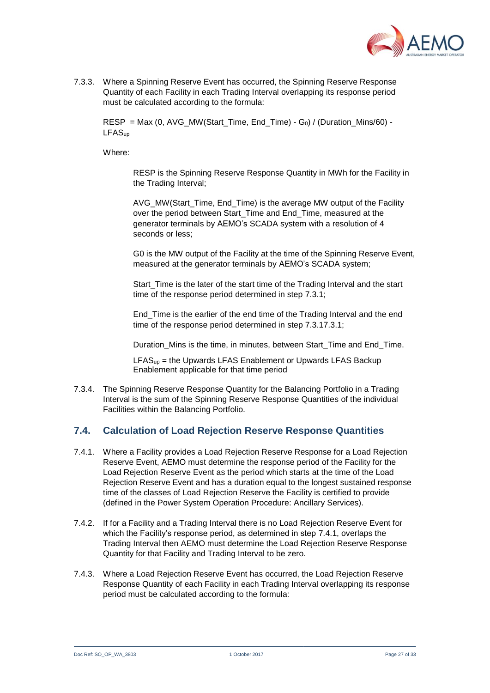

7.3.3. Where a Spinning Reserve Event has occurred, the Spinning Reserve Response Quantity of each Facility in each Trading Interval overlapping its response period must be calculated according to the formula:

RESP = Max (0, AVG\_MW(Start\_Time, End\_Time) - G<sub>0</sub>) / (Duration\_Mins/60) -LFASup

Where:

RESP is the Spinning Reserve Response Quantity in MWh for the Facility in the Trading Interval;

AVG MW(Start Time, End Time) is the average MW output of the Facility over the period between Start\_Time and End\_Time, measured at the generator terminals by AEMO's SCADA system with a resolution of 4 seconds or less;

G0 is the MW output of the Facility at the time of the Spinning Reserve Event, measured at the generator terminals by AEMO's SCADA system;

Start Time is the later of the start time of the Trading Interval and the start time of the response period determined in step [7.3.1;](#page-25-6)

End\_Time is the earlier of the end time of the Trading Interval and the end time of the response period determined in step [7.3.17.3.1;](#page-25-6)

Duration Mins is the time, in minutes, between Start Time and End Time.

 $LFAS<sub>up</sub>$  = the Upwards LFAS Enablement or Upwards LFAS Backup Enablement applicable for that time period

7.3.4. The Spinning Reserve Response Quantity for the Balancing Portfolio in a Trading Interval is the sum of the Spinning Reserve Response Quantities of the individual Facilities within the Balancing Portfolio.

#### <span id="page-26-0"></span>**7.4. Calculation of Load Rejection Reserve Response Quantities**

- <span id="page-26-1"></span>7.4.1. Where a Facility provides a Load Rejection Reserve Response for a Load Rejection Reserve Event, AEMO must determine the response period of the Facility for the Load Rejection Reserve Event as the period which starts at the time of the Load Rejection Reserve Event and has a duration equal to the longest sustained response time of the classes of Load Rejection Reserve the Facility is certified to provide (defined in the Power System Operation Procedure: Ancillary Services).
- 7.4.2. If for a Facility and a Trading Interval there is no Load Rejection Reserve Event for which the Facility's response period, as determined in step [7.4.1,](#page-26-1) overlaps the Trading Interval then AEMO must determine the Load Rejection Reserve Response Quantity for that Facility and Trading Interval to be zero.
- 7.4.3. Where a Load Rejection Reserve Event has occurred, the Load Rejection Reserve Response Quantity of each Facility in each Trading Interval overlapping its response period must be calculated according to the formula: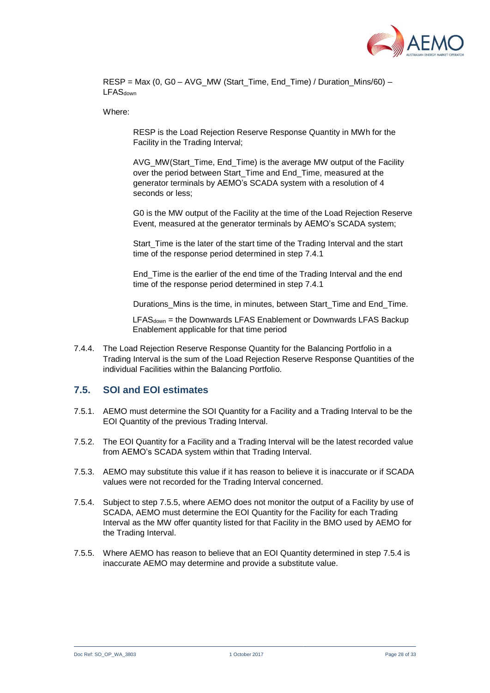

RESP = Max (0, G0 – AVG\_MW (Start\_Time, End\_Time) / Duration\_Mins/60) – **LFAS**down

Where:

RESP is the Load Rejection Reserve Response Quantity in MWh for the Facility in the Trading Interval;

AVG\_MW(Start\_Time, End\_Time) is the average MW output of the Facility over the period between Start\_Time and End\_Time, measured at the generator terminals by AEMO's SCADA system with a resolution of 4 seconds or less;

G0 is the MW output of the Facility at the time of the Load Rejection Reserve Event, measured at the generator terminals by AEMO's SCADA system;

Start Time is the later of the start time of the Trading Interval and the start time of the response period determined in step [7.4.1](#page-26-1)

End\_Time is the earlier of the end time of the Trading Interval and the end time of the response period determined in step [7.4.1](#page-26-1)

Durations Mins is the time, in minutes, between Start Time and End Time.

LFAS<sub>down</sub> = the Downwards LFAS Enablement or Downwards LFAS Backup Enablement applicable for that time period

7.4.4. The Load Rejection Reserve Response Quantity for the Balancing Portfolio in a Trading Interval is the sum of the Load Rejection Reserve Response Quantities of the individual Facilities within the Balancing Portfolio.

#### <span id="page-27-0"></span>**7.5. SOI and EOI estimates**

- 7.5.1. AEMO must determine the SOI Quantity for a Facility and a Trading Interval to be the EOI Quantity of the previous Trading Interval.
- 7.5.2. The EOI Quantity for a Facility and a Trading Interval will be the latest recorded value from AEMO's SCADA system within that Trading Interval.
- 7.5.3. AEMO may substitute this value if it has reason to believe it is inaccurate or if SCADA values were not recorded for the Trading Interval concerned.
- <span id="page-27-2"></span>7.5.4. Subject to step [7.5.5,](#page-27-1) where AEMO does not monitor the output of a Facility by use of SCADA, AEMO must determine the EOI Quantity for the Facility for each Trading Interval as the MW offer quantity listed for that Facility in the BMO used by AEMO for the Trading Interval.
- <span id="page-27-1"></span>7.5.5. Where AEMO has reason to believe that an EOI Quantity determined in step [7.5.4](#page-27-2) is inaccurate AEMO may determine and provide a substitute value.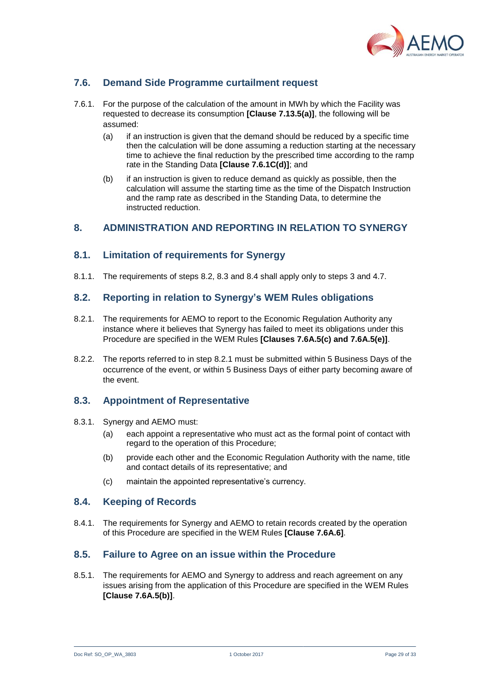

## <span id="page-28-0"></span>**7.6. Demand Side Programme curtailment request**

- 7.6.1. For the purpose of the calculation of the amount in MWh by which the Facility was requested to decrease its consumption **[Clause 7.13.5(a)]**, the following will be assumed:
	- (a) if an instruction is given that the demand should be reduced by a specific time then the calculation will be done assuming a reduction starting at the necessary time to achieve the final reduction by the prescribed time according to the ramp rate in the Standing Data **[Clause 7.6.1C(d)]**; and
	- (b) if an instruction is given to reduce demand as quickly as possible, then the calculation will assume the starting time as the time of the Dispatch Instruction and the ramp rate as described in the Standing Data, to determine the instructed reduction.

## <span id="page-28-1"></span>**8. ADMINISTRATION AND REPORTING IN RELATION TO SYNERGY**

#### <span id="page-28-2"></span>**8.1. Limitation of requirements for Synergy**

8.1.1. The requirements of steps [8.2,](#page-28-3) [8.3](#page-28-4) and [8.4](#page-28-5) shall apply only to steps [3](#page-7-1) and [4.7.](#page-11-1)

### <span id="page-28-3"></span>**8.2. Reporting in relation to Synergy's WEM Rules obligations**

- <span id="page-28-7"></span>8.2.1. The requirements for AEMO to report to the Economic Regulation Authority any instance where it believes that Synergy has failed to meet its obligations under this Procedure are specified in the WEM Rules **[Clauses 7.6A.5(c) and 7.6A.5(e)]**.
- 8.2.2. The reports referred to in step [8.2.1](#page-28-7) must be submitted within 5 Business Days of the occurrence of the event, or within 5 Business Days of either party becoming aware of the event.

#### <span id="page-28-4"></span>**8.3. Appointment of Representative**

- 8.3.1. Synergy and AEMO must:
	- (a) each appoint a representative who must act as the formal point of contact with regard to the operation of this Procedure;
	- (b) provide each other and the Economic Regulation Authority with the name, title and contact details of its representative; and
	- (c) maintain the appointed representative's currency.

#### <span id="page-28-5"></span>**8.4. Keeping of Records**

8.4.1. The requirements for Synergy and AEMO to retain records created by the operation of this Procedure are specified in the WEM Rules **[Clause 7.6A.6]**.

#### <span id="page-28-6"></span>**8.5. Failure to Agree on an issue within the Procedure**

8.5.1. The requirements for AEMO and Synergy to address and reach agreement on any issues arising from the application of this Procedure are specified in the WEM Rules **[Clause 7.6A.5(b)]**.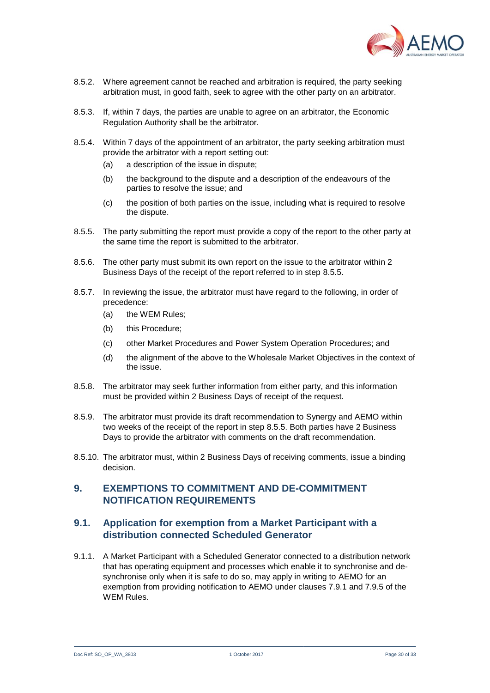

- 8.5.2. Where agreement cannot be reached and arbitration is required, the party seeking arbitration must, in good faith, seek to agree with the other party on an arbitrator.
- 8.5.3. If, within 7 days, the parties are unable to agree on an arbitrator, the Economic Regulation Authority shall be the arbitrator.
- 8.5.4. Within 7 days of the appointment of an arbitrator, the party seeking arbitration must provide the arbitrator with a report setting out:
	- (a) a description of the issue in dispute;
	- (b) the background to the dispute and a description of the endeavours of the parties to resolve the issue; and
	- (c) the position of both parties on the issue, including what is required to resolve the dispute.
- <span id="page-29-2"></span>8.5.5. The party submitting the report must provide a copy of the report to the other party at the same time the report is submitted to the arbitrator.
- 8.5.6. The other party must submit its own report on the issue to the arbitrator within 2 Business Days of the receipt of the report referred to in step [8.5.5.](#page-29-2)
- 8.5.7. In reviewing the issue, the arbitrator must have regard to the following, in order of precedence:
	- (a) the WEM Rules;
	- (b) this Procedure;
	- (c) other Market Procedures and Power System Operation Procedures; and
	- (d) the alignment of the above to the Wholesale Market Objectives in the context of the issue.
- 8.5.8. The arbitrator may seek further information from either party, and this information must be provided within 2 Business Days of receipt of the request.
- 8.5.9. The arbitrator must provide its draft recommendation to Synergy and AEMO within two weeks of the receipt of the report in step [8.5.5.](#page-29-2) Both parties have 2 Business Days to provide the arbitrator with comments on the draft recommendation.
- 8.5.10. The arbitrator must, within 2 Business Days of receiving comments, issue a binding decision.

#### <span id="page-29-0"></span>**9. EXEMPTIONS TO COMMITMENT AND DE-COMMITMENT NOTIFICATION REQUIREMENTS**

#### <span id="page-29-1"></span>**9.1. Application for exemption from a Market Participant with a distribution connected Scheduled Generator**

<span id="page-29-3"></span>9.1.1. A Market Participant with a Scheduled Generator connected to a distribution network that has operating equipment and processes which enable it to synchronise and desynchronise only when it is safe to do so, may apply in writing to AEMO for an exemption from providing notification to AEMO under clauses 7.9.1 and 7.9.5 of the WEM Rules.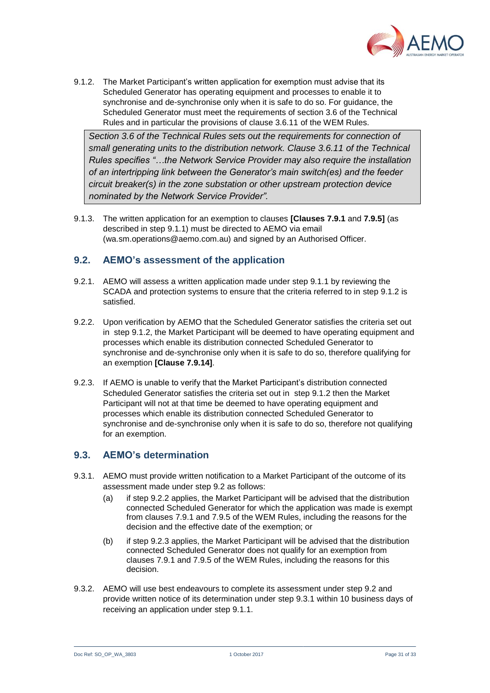

<span id="page-30-2"></span>9.1.2. The Market Participant's written application for exemption must advise that its Scheduled Generator has operating equipment and processes to enable it to synchronise and de-synchronise only when it is safe to do so. For guidance, the Scheduled Generator must meet the requirements of section 3.6 of the Technical Rules and in particular the provisions of clause 3.6.11 of the WEM Rules.

*Section 3.6 of the Technical Rules sets out the requirements for connection of small generating units to the distribution network. Clause 3.6.11 of the Technical Rules specifies "…the Network Service Provider may also require the installation of an intertripping link between the Generator's main switch(es) and the feeder circuit breaker(s) in the zone substation or other upstream protection device nominated by the Network Service Provider".* 

9.1.3. The written application for an exemption to clauses **[Clauses 7.9.1** and **7.9.5]** (as described in step [9.1.1\)](#page-29-3) must be directed to AEMO via email (wa.sm.operations@aemo.com.au) and signed by an Authorised Officer.

#### <span id="page-30-0"></span>**9.2. AEMO's assessment of the application**

- 9.2.1. AEMO will assess a written application made under step [9.1.1](#page-29-3) by reviewing the SCADA and protection systems to ensure that the criteria referred to in step [9.1.2](#page-30-2) is satisfied.
- <span id="page-30-3"></span>9.2.2. Upon verification by AEMO that the Scheduled Generator satisfies the criteria set out in step [9.1.2,](#page-30-2) the Market Participant will be deemed to have operating equipment and processes which enable its distribution connected Scheduled Generator to synchronise and de-synchronise only when it is safe to do so, therefore qualifying for an exemption **[Clause 7.9.14]**.
- <span id="page-30-4"></span>9.2.3. If AEMO is unable to verify that the Market Participant's distribution connected Scheduled Generator satisfies the criteria set out in step [9.1.2](#page-30-2) then the Market Participant will not at that time be deemed to have operating equipment and processes which enable its distribution connected Scheduled Generator to synchronise and de-synchronise only when it is safe to do so, therefore not qualifying for an exemption.

#### <span id="page-30-1"></span>**9.3. AEMO's determination**

- <span id="page-30-5"></span>9.3.1. AEMO must provide written notification to a Market Participant of the outcome of its assessment made under step [9.2](#page-30-0) as follows:
	- (a) if step [9.2.2](#page-30-3) applies, the Market Participant will be advised that the distribution connected Scheduled Generator for which the application was made is exempt from clauses 7.9.1 and 7.9.5 of the WEM Rules, including the reasons for the decision and the effective date of the exemption; or
	- (b) if step [9.2.3](#page-30-4) applies, the Market Participant will be advised that the distribution connected Scheduled Generator does not qualify for an exemption from clauses 7.9.1 and 7.9.5 of the WEM Rules, including the reasons for this decision.
- 9.3.2. AEMO will use best endeavours to complete its assessment under step [9.2](#page-30-0) and provide written notice of its determination under step [9.3.1](#page-30-5) within 10 business days of receiving an application under step [9.1.1.](#page-29-3)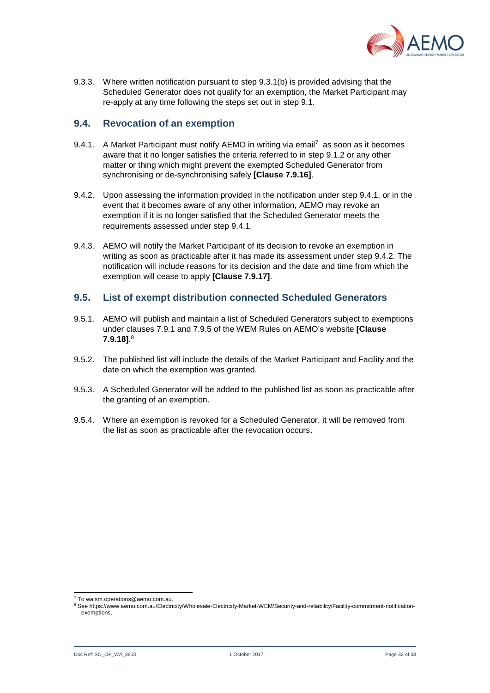

9.3.3. Where written notification pursuant to step [9.3.1\(b\)](#page-30-5) is provided advising that the Scheduled Generator does not qualify for an exemption, the Market Participant may re-apply at any time following the steps set out in step [9.1.](#page-29-1)

#### <span id="page-31-0"></span>**9.4. Revocation of an exemption**

- <span id="page-31-2"></span>9.4.1. A Market Participant must notify AEMO in writing via email<sup>7</sup> as soon as it becomes aware that it no longer satisfies the criteria referred to in step [9.1.2](#page-30-2) or any other matter or thing which might prevent the exempted Scheduled Generator from synchronising or de-synchronising safely **[Clause 7.9.16]**.
- <span id="page-31-3"></span>9.4.2. Upon assessing the information provided in the notification under step [9.4.1,](#page-31-2) or in the event that it becomes aware of any other information, AEMO may revoke an exemption if it is no longer satisfied that the Scheduled Generator meets the requirements assessed under step [9.4.1.](#page-31-2)
- 9.4.3. AEMO will notify the Market Participant of its decision to revoke an exemption in writing as soon as practicable after it has made its assessment under step [9.4.2.](#page-31-3) The notification will include reasons for its decision and the date and time from which the exemption will cease to apply **[Clause 7.9.17]**.

#### <span id="page-31-1"></span>**9.5. List of exempt distribution connected Scheduled Generators**

- 9.5.1. AEMO will publish and maintain a list of Scheduled Generators subject to exemptions under clauses 7.9.1 and 7.9.5 of the WEM Rules on AEMO's website **[Clause 7.9.18]**. 8
- 9.5.2. The published list will include the details of the Market Participant and Facility and the date on which the exemption was granted.
- 9.5.3. A Scheduled Generator will be added to the published list as soon as practicable after the granting of an exemption.
- 9.5.4. Where an exemption is revoked for a Scheduled Generator, it will be removed from the list as soon as practicable after the revocation occurs.

l <sup>7</sup> To wa.sm.operations@aemo.com.au.

<sup>8</sup> See https://www.aemo.com.au/Electricity/Wholesale-Electricity-Market-WEM/Security-and-reliability/Facility-commitment-notificationexemptions.